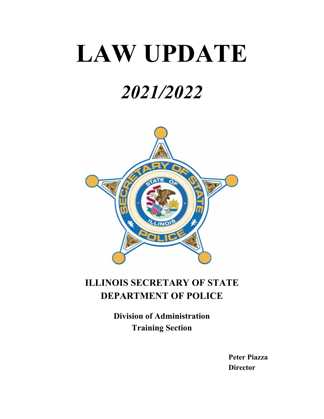# **LAW UPDATE**

## *2021/2022*



### **ILLINOIS SECRETARY OF STATE DEPARTMENT OF POLICE**

**Division of Administration Training Section**

> **Peter Piazza Director**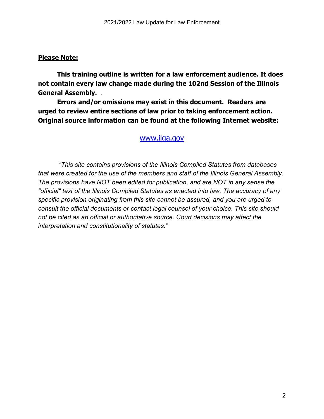#### **Please Note:**

**This training outline is written for a law enforcement audience. It does not contain every law change made during the 102nd Session of the Illinois General Assembly.** *.*

**Errors and/or omissions may exist in this document. Readers are urged to review entire sections of law prior to taking enforcement action. Original source information can be found at the following Internet website:**

#### www.ilga.gov

*"This site contains provisions of the Illinois Compiled Statutes from databases that were created for the use of the members and staff of the Illinois General Assembly. The provisions have NOT been edited for publication, and are NOT in any sense the "official" text of the Illinois Compiled Statutes as enacted into law. The accuracy of any specific provision originating from this site cannot be assured, and you are urged to consult the official documents or contact legal counsel of your choice. This site should not be cited as an official or authoritative source. Court decisions may affect the interpretation and constitutionality of statutes."*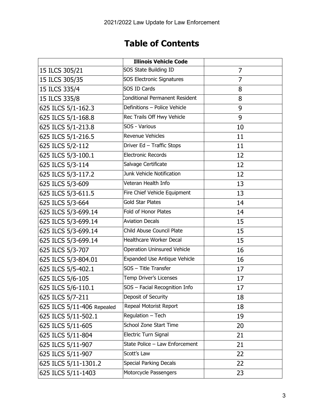### **Table of Contents**

|                            | <b>Illinois Vehicle Code</b>       |    |
|----------------------------|------------------------------------|----|
| 15 ILCS 305/21             | SOS State Building ID              | 7  |
| 15 ILCS 305/35             | <b>SOS Electronic Signatures</b>   | 7  |
| 15 ILCS 335/4              | <b>SOS ID Cards</b>                | 8  |
| 15 ILCS 335/8              | Conditional Permanent Resident     | 8  |
| 625 ILCS 5/1-162.3         | Definitions - Police Vehicle       | 9  |
| 625 ILCS 5/1-168.8         | Rec Trails Off Hwy Vehicle         | 9  |
| 625 ILCS 5/1-213.8         | SOS - Various                      | 10 |
| 625 ILCS 5/1-216.5         | <b>Revenue Vehicles</b>            | 11 |
| 625 ILCS 5/2-112           | Driver Ed - Traffic Stops          | 11 |
| 625 ILCS 5/3-100.1         | <b>Electronic Records</b>          | 12 |
| 625 ILCS 5/3-114           | Salvage Certificate                | 12 |
| 625 ILCS 5/3-117.2         | Junk Vehicle Notification          | 12 |
| 625 ILCS 5/3-609           | Veteran Health Info                | 13 |
| 625 ILCS 5/3-611.5         | Fire Chief Vehicle Equipment       | 13 |
| 625 ILCS 5/3-664           | <b>Gold Star Plates</b>            | 14 |
| 625 ILCS 5/3-699.14        | <b>Fold of Honor Plates</b>        | 14 |
| 625 ILCS 5/3-699.14        | <b>Aviation Decals</b>             | 15 |
| 625 ILCS 5/3-699.14        | Child Abuse Council Plate          | 15 |
| 625 ILCS 5/3-699.14        | <b>Healthcare Worker Decal</b>     | 15 |
| 625 ILCS 5/3-707           | <b>Operation Uninsured Vehicle</b> | 16 |
| 625 ILCS 5/3-804.01        | Expanded Use Antique Vehicle       | 16 |
| 625 ILCS 5/5-402.1         | SOS - Title Transfer               | 17 |
| 625 ILCS 5/6-105           | Temp Driver's Licenses             | 17 |
| 625 ILCS 5/6-110.1         | SOS - Facial Recognition Info      | 17 |
| 625 ILCS 5/7-211           | Deposit of Security                | 18 |
| 625 ILCS 5/11-406 Repealed | Repeal Motorist Report             | 18 |
| 625 ILCS 5/11-502.1        | Regulation - Tech                  | 19 |
| 625 ILCS 5/11-605          | School Zone Start Time             | 20 |
| 625 ILCS 5/11-804          | Electric Turn Signal               | 21 |
| 625 ILCS 5/11-907          | State Police - Law Enforcement     | 21 |
| 625 ILCS 5/11-907          | Scott's Law                        | 22 |
| 625 ILCS 5/11-1301.2       | <b>Special Parking Decals</b>      | 22 |
| 625 ILCS 5/11-1403         | Motorcycle Passengers              | 23 |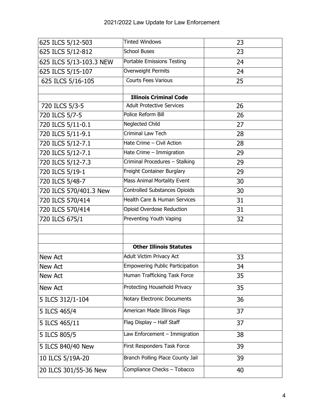| 625 ILCS 5/12-503       | <b>Tinted Windows</b>                  | 23 |
|-------------------------|----------------------------------------|----|
| 625 ILCS 5/12-812       | <b>School Buses</b>                    | 23 |
| 625 ILCS 5/13-103.3 NEW | Portable Emissions Testing             | 24 |
| 625 ILCS 5/15-107       | Overweight Permits                     | 24 |
| 625 ILCS 5/16-105       | <b>Courts Fees Various</b>             | 25 |
|                         |                                        |    |
|                         | <b>Illinois Criminal Code</b>          |    |
| 720 ILCS 5/3-5          | <b>Adult Protective Services</b>       | 26 |
| 720 ILCS 5/7-5          | Police Reform Bill                     | 26 |
| 720 ILCS 5/11-0.1       | Neglected Child                        | 27 |
| 720 ILCS 5/11-9.1       | Criminal Law Tech                      | 28 |
| 720 ILCS 5/12-7.1       | Hate Crime - Civil Action              | 28 |
| 720 ILCS 5/12-7.1       | Hate Crime - Immigration               | 29 |
| 720 ILCS 5/12-7.3       | Criminal Procedures - Stalking         | 29 |
| 720 ILCS 5/19-1         | Freight Container Burglary             | 29 |
| 720 ILCS 5/48-7         | Mass Animal Mortality Event            | 30 |
| 720 ILCS 570/401.3 New  | Controlled Substances Opioids          | 30 |
| 720 ILCS 570/414        | Health Care & Human Services           | 31 |
| 720 ILCS 570/414        | Opioid Overdose Reduction              | 31 |
| 720 ILCS 675/1          | Preventing Youth Vaping                | 32 |
|                         |                                        |    |
|                         |                                        |    |
|                         | <b>Other Illinois Statutes</b>         |    |
| New Act                 | Adult Victim Privacy Act               | 33 |
| New Act                 | <b>Empowering Public Participation</b> | 34 |
| <b>New Act</b>          | Human Trafficking Task Force           | 35 |
| New Act                 | Protecting Household Privacy           | 35 |
| 5 ILCS 312/1-104        | Notary Electronic Documents            | 36 |
| 5 ILCS 465/4            | American Made Illinois Flags           | 37 |
| 5 ILCS 465/11           | Flag Display - Half Staff              | 37 |
| 5 ILCS 805/5            | Law Enforcement - Immigration          | 38 |
| 5 ILCS 840/40 New       | First Responders Task Force            | 39 |
| 10 ILCS 5/19A-20        | Branch Polling Place County Jail       | 39 |
| 20 ILCS 301/55-36 New   | Compliance Checks - Tobacco            | 40 |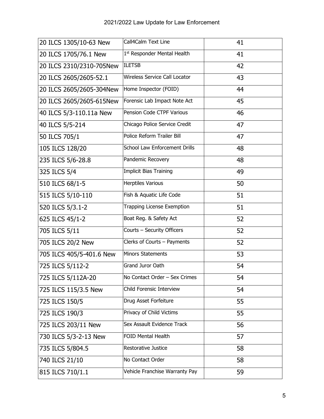| 20 ILCS 1305/10-63 New   | Call4Calm Text Line            | 41 |
|--------------------------|--------------------------------|----|
| 20 ILCS 1705/76.1 New    | 1st Responder Mental Health    | 41 |
| 20 ILCS 2310/2310-705New | <b>ILETSB</b>                  | 42 |
| 20 ILCS 2605/2605-52.1   | Wireless Service Call Locator  | 43 |
| 20 ILCS 2605/2605-304New | Home Inspector (FOID)          | 44 |
| 20 ILCS 2605/2605-615New | Forensic Lab Impact Note Act   | 45 |
| 40 ILCS 5/3-110.11a New  | Pension Code CTPF Various      | 46 |
| 40 ILCS 5/5-214          | Chicago Police Service Credit  | 47 |
| 50 ILCS 705/1            | Police Reform Trailer Bill     | 47 |
| 105 ILCS 128/20          | School Law Enforcement Drills  | 48 |
| 235 ILCS 5/6-28.8        | Pandemic Recovery              | 48 |
| 325 ILCS 5/4             | <b>Implicit Bias Training</b>  | 49 |
| 510 ILCS 68/1-5          | <b>Herptiles Various</b>       | 50 |
| 515 ILCS 5/10-110        | Fish & Aquatic Life Code       | 51 |
| 520 ILCS 5/3.1-2         | Trapping License Exemption     | 51 |
| 625 ILCS 45/1-2          | Boat Reg. & Safety Act         | 52 |
| 705 ILCS 5/11            | Courts - Security Officers     | 52 |
| 705 ILCS 20/2 New        | Clerks of Courts - Payments    | 52 |
| 705 ILCS 405/5-401.6 New | <b>Minors Statements</b>       | 53 |
| 725 ILCS 5/112-2         | Grand Juror Oath               | 54 |
| 725 ILCS 5/112A-20       | No Contact Order - Sex Crimes  | 54 |
| 725 ILCS 115/3.5 New     | Child Forensic Interview       | 54 |
| 725 ILCS 150/5           | Drug Asset Forfeiture          | 55 |
| 725 ILCS 190/3           | Privacy of Child Victims       | 55 |
| 725 ILCS 203/11 New      | Sex Assault Evidence Track     | 56 |
| 730 ILCS 5/3-2-13 New    | <b>FOID Mental Health</b>      | 57 |
| 735 ILCS 5/804.5         | Restorative Justice            | 58 |
| 740 ILCS 21/10           | No Contact Order               | 58 |
| 815 ILCS 710/1.1         | Vehicle Franchise Warranty Pay | 59 |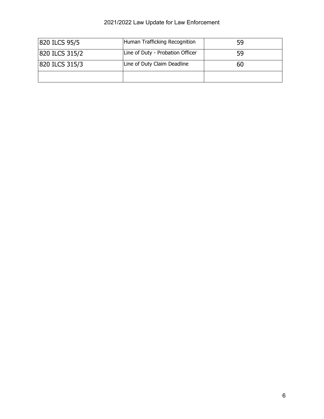### 2021/2022 Law Update for Law Enforcement

| 820 ILCS 95/5  | Human Trafficking Recognition    | 59 |
|----------------|----------------------------------|----|
| 820 ILCS 315/2 | Line of Duty - Probation Officer | 59 |
| 820 ILCS 315/3 | Line of Duty Claim Deadline      | 60 |
|                |                                  |    |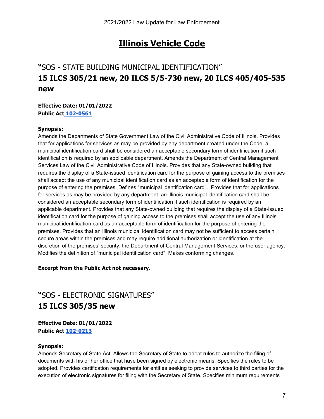### **Illinois Vehicle Code**

### **"**SOS - STATE BUILDING MUNICIPAL IDENTIFICATION" **15 ILCS 305/21 new, 20 ILCS 5/5-730 new, 20 ILCS 405/405-535 new**

#### **Effective Date: 01/01/2022 Public Act [102-0561](https://ilga.gov/legislation/billstatus.asp?DocNum=2460&GAID=16&GA=102&DocTypeID=SB&LegID=135114&SessionID=110&SpecSess=)**

#### **Synopsis:**

Amends the Departments of State Government Law of the Civil Administrative Code of Illinois. Provides that for applications for services as may be provided by any department created under the Code, a municipal identification card shall be considered an acceptable secondary form of identification if such identification is required by an applicable department. Amends the Department of Central Management Services Law of the Civil Administrative Code of Illinois. Provides that any State-owned building that requires the display of a State-issued identification card for the purpose of gaining access to the premises shall accept the use of any municipal identification card as an acceptable form of identification for the purpose of entering the premises. Defines "municipal identification card". Provides that for applications for services as may be provided by any department, an Illinois municipal identification card shall be considered an acceptable secondary form of identification if such identification is required by an applicable department. Provides that any State-owned building that requires the display of a State-issued identification card for the purpose of gaining access to the premises shall accept the use of any Illinois municipal identification card as an acceptable form of identification for the purpose of entering the premises. Provides that an Illinois municipal identification card may not be sufficient to access certain secure areas within the premises and may require additional authorization or identification at the discretion of the premises' security, the Department of Central Management Services, or the user agency. Modifies the definition of "municipal identification card". Makes conforming changes.

#### **Excerpt from the Public Act not necessary.**

### **"**SOS - ELECTRONIC SIGNATURES" **15 ILCS 305/35 new**

**Effective Date: 01/01/2022 Public Act [102-0213](https://www.ilga.gov/legislation/billstatus.asp?DocNum=1611&GAID=16&GA=102&DocTypeID=SB&LegID=134244&SessionID=110&SpecSess=)**

#### **Synopsis:**

Amends Secretary of State Act. Allows the Secretary of State to adopt rules to authorize the filing of documents with his or her office that have been signed by electronic means. Specifies the rules to be adopted. Provides certification requirements for entities seeking to provide services to third parties for the execution of electronic signatures for filing with the Secretary of State. Specifies minimum requirements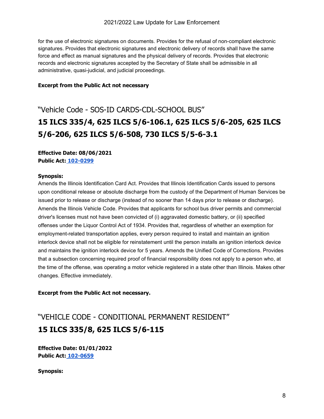for the use of electronic signatures on documents. Provides for the refusal of non-compliant electronic signatures. Provides that electronic signatures and electronic delivery of records shall have the same force and effect as manual signatures and the physical delivery of records. Provides that electronic records and electronic signatures accepted by the Secretary of State shall be admissible in all administrative, quasi-judicial, and judicial proceedings.

#### **Excerpt from the Public Act not necessary**

### "Vehicle Code - SOS-ID CARDS-CDL-SCHOOL BUS" **15 ILCS 335/4, 625 ILCS 5/6-106.1, 625 ILCS 5/6-205, 625 ILCS 5/6-206, 625 ILCS 5/6-508, 730 ILCS 5/5-6-3.1**

**Effective Date: 08/06/2021 Public Act: [102-0299](https://www.ilga.gov/legislation/billstatus.asp?DocNum=0698&GAID=16&GA=102&DocTypeID=SB&LegID=133320&SessionID=110&SpecSess=)**

#### **Synopsis:**

Amends the Illinois Identification Card Act. Provides that Illinois Identification Cards issued to persons upon conditional release or absolute discharge from the custody of the Department of Human Services be issued prior to release or discharge (instead of no sooner than 14 days prior to release or discharge). Amends the Illinois Vehicle Code. Provides that applicants for school bus driver permits and commercial driver's licenses must not have been convicted of (i) aggravated domestic battery, or (ii) specified offenses under the Liquor Control Act of 1934. Provides that, regardless of whether an exemption for employment-related transportation applies, every person required to install and maintain an ignition interlock device shall not be eligible for reinstatement until the person installs an ignition interlock device and maintains the ignition interlock device for 5 years. Amends the Unified Code of Corrections. Provides that a subsection concerning required proof of financial responsibility does not apply to a person who, at the time of the offense, was operating a motor vehicle registered in a state other than Illinois. Makes other changes. Effective immediately.

**Excerpt from the Public Act not necessary.**

### "VEHICLE CODE - CONDITIONAL PERMANENT RESIDENT" **15 ILCS 335/8, 625 ILCS 5/6-115**

**Effective Date: 01/01/2022 Public Act: [102-0659](https://ilga.gov/legislation/billstatus.asp?DocNum=2662&GAID=16&GA=102&DocTypeID=SB&LegID=135316&SessionID=110&SpecSess=)**

**Synopsis:**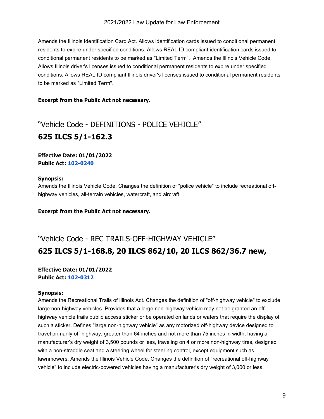Amends the Illinois Identification Card Act. Allows identification cards issued to conditional permanent residents to expire under specified conditions. Allows REAL ID compliant identification cards issued to conditional permanent residents to be marked as "Limited Term". Amends the Illinois Vehicle Code. Allows Illinois driver's licenses issued to conditional permanent residents to expire under specified conditions. Allows REAL ID compliant Illinois driver's licenses issued to conditional permanent residents to be marked as "Limited Term".

#### **Excerpt from the Public Act not necessary.**

### "Vehicle Code - DEFINITIONS - POLICE VEHICLE" **625 ILCS 5/1-162.3**

#### **Effective Date: 01/01/2022 Public Act: [102-0240](https://www.ilga.gov/legislation/billstatus.asp?DocNum=3882&GAID=16&GA=102&DocTypeID=HB&LegID=132968&SessionID=110&SpecSess=)**

#### **Synopsis:**

Amends the Illinois Vehicle Code. Changes the definition of "police vehicle" to include recreational offhighway vehicles, all-terrain vehicles, watercraft, and aircraft.

**Excerpt from the Public Act not necessary.**

### "Vehicle Code - REC TRAILS-OFF-HIGHWAY VEHICLE" **625 ILCS 5/1-168.8, 20 ILCS 862/10, 20 ILCS 862/36.7 new,**

#### **Effective Date: 01/01/2022 Public Act: [102-0312](https://www.ilga.gov/legislation/billstatus.asp?DocNum=1231&GAID=16&GA=102&DocTypeID=SB&LegID=133863&SessionID=110&SpecSess=)**

#### **Synopsis:**

Amends the Recreational Trails of Illinois Act. Changes the definition of "off-highway vehicle" to exclude large non-highway vehicles. Provides that a large non-highway vehicle may not be granted an offhighway vehicle trails public access sticker or be operated on lands or waters that require the display of such a sticker. Defines "large non-highway vehicle" as any motorized off-highway device designed to travel primarily off-highway, greater than 64 inches and not more than 75 inches in width, having a manufacturer's dry weight of 3,500 pounds or less, traveling on 4 or more non-highway tires, designed with a non-straddle seat and a steering wheel for steering control, except equipment such as lawnmowers. Amends the Illinois Vehicle Code. Changes the definition of "recreational off-highway vehicle" to include electric-powered vehicles having a manufacturer's dry weight of 3,000 or less.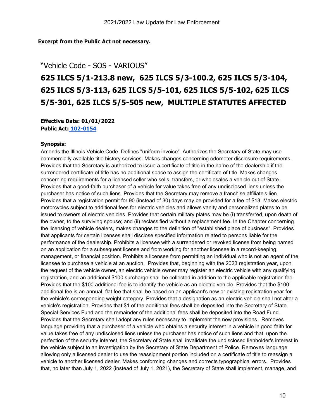#### **Excerpt from the Public Act not necessary.**

#### "Vehicle Code - SOS - VARIOUS"

### **625 ILCS 5/1-213.8 new, 625 ILCS 5/3-100.2, 625 ILCS 5/3-104, 625 ILCS 5/3-113, 625 ILCS 5/5-101, 625 ILCS 5/5-102, 625 ILCS 5/5-301, 625 ILCS 5/5-505 new, MULTIPLE STATUTES AFFECTED**

**Effective Date: 01/01/2022 Public Act: [102-0154](https://www.ilga.gov/legislation/billstatus.asp?DocNum=0573&GAID=16&GA=102&DocTypeID=SB&LegID=133166&SessionID=110&SpecSess=)**

#### **Synopsis:**

Amends the Illinois Vehicle Code. Defines "uniform invoice". Authorizes the Secretary of State may use commercially available title history services. Makes changes concerning odometer disclosure requirements. Provides that the Secretary is authorized to issue a certificate of title in the name of the dealership if the surrendered certificate of title has no additional space to assign the certificate of title. Makes changes concerning requirements for a licensed seller who sells, transfers, or wholesales a vehicle out of State. Provides that a good-faith purchaser of a vehicle for value takes free of any undisclosed liens unless the purchaser has notice of such liens. Provides that the Secretary may remove a franchise affiliate's lien. Provides that a registration permit for 90 (instead of 30) days may be provided for a fee of \$13. Makes electric motorcycles subject to additional fees for electric vehicles and allows vanity and personalized plates to be issued to owners of electric vehicles. Provides that certain military plates may be (i) transferred, upon death of the owner, to the surviving spouse; and (ii) reclassified without a replacement fee. In the Chapter concerning the licensing of vehicle dealers, makes changes to the definition of "established place of business". Provides that applicants for certain licenses shall disclose specified information related to persons liable for the performance of the dealership. Prohibits a licensee with a surrendered or revoked license from being named on an application for a subsequent license and from working for another licensee in a record-keeping, management, or financial position. Prohibits a licensee from permitting an individual who is not an agent of the licensee to purchase a vehicle at an auction. Provides that, beginning with the 2023 registration year, upon the request of the vehicle owner, an electric vehicle owner may register an electric vehicle with any qualifying registration, and an additional \$100 surcharge shall be collected in addition to the applicable registration fee. Provides that the \$100 additional fee is to identify the vehicle as an electric vehicle. Provides that the \$100 additional fee is an annual, flat fee that shall be based on an applicant's new or existing registration year for the vehicle's corresponding weight category. Provides that a designation as an electric vehicle shall not alter a vehicle's registration. Provides that \$1 of the additional fees shall be deposited into the Secretary of State Special Services Fund and the remainder of the additional fees shall be deposited into the Road Fund. Provides that the Secretary shall adopt any rules necessary to implement the new provisions. Removes language providing that a purchaser of a vehicle who obtains a security interest in a vehicle in good faith for value takes free of any undisclosed liens unless the purchaser has notice of such liens and that, upon the perfection of the security interest, the Secretary of State shall invalidate the undisclosed lienholder's interest in the vehicle subject to an investigation by the Secretary of State Department of Police. Removes language allowing only a licensed dealer to use the reassignment portion included on a certificate of title to reassign a vehicle to another licensed dealer. Makes conforming changes and corrects typographical errors. Provides that, no later than July 1, 2022 (instead of July 1, 2021), the Secretary of State shall implement, manage, and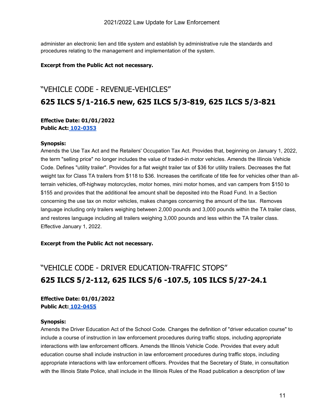administer an electronic lien and title system and establish by administrative rule the standards and procedures relating to the management and implementation of the system.

#### **Excerpt from the Public Act not necessary.**

### "VEHICLE CODE - REVENUE-VEHICLES" **625 ILCS 5/1-216.5 new, 625 ILCS 5/3-819, 625 ILCS 5/3-821**

#### **Effective Date: 01/01/2022 Public Act: [102-0353](https://ilga.gov/legislation/billstatus.asp?DocNum=0058&GAID=16&GA=102&DocTypeID=SB&LegID=128304&SessionID=110&SpecSess=)**

#### **Synopsis:**

Amends the Use Tax Act and the Retailers' Occupation Tax Act. Provides that, beginning on January 1, 2022, the term "selling price" no longer includes the value of traded-in motor vehicles. Amends the Illinois Vehicle Code. Defines "utility trailer". Provides for a flat weight trailer tax of \$36 for utility trailers. Decreases the flat weight tax for Class TA trailers from \$118 to \$36. Increases the certificate of title fee for vehicles other than allterrain vehicles, off-highway motorcycles, motor homes, mini motor homes, and van campers from \$150 to \$155 and provides that the additional fee amount shall be deposited into the Road Fund. In a Section concerning the use tax on motor vehicles, makes changes concerning the amount of the tax. Removes language including only trailers weighing between 2,000 pounds and 3,000 pounds within the TA trailer class, and restores language including all trailers weighing 3,000 pounds and less within the TA trailer class. Effective January 1, 2022.

#### **Excerpt from the Public Act not necessary.**

### "VEHICLE CODE - DRIVER EDUCATION-TRAFFIC STOPS" **625 ILCS 5/2-112, 625 ILCS 5/6 -107.5, 105 ILCS 5/27-24.1**

#### **Effective Date: 01/01/2022 Public Act: [102-0455](https://ilga.gov/legislation/billstatus.asp?DocNum=3097&GAID=16&GA=102&DocTypeID=HB&LegID=132021&SessionID=110&SpecSess=)**

#### **Synopsis:**

Amends the Driver Education Act of the School Code. Changes the definition of "driver education course" to include a course of instruction in law enforcement procedures during traffic stops, including appropriate interactions with law enforcement officers. Amends the Illinois Vehicle Code. Provides that every adult education course shall include instruction in law enforcement procedures during traffic stops, including appropriate interactions with law enforcement officers. Provides that the Secretary of State, in consultation with the Illinois State Police, shall include in the Illinois Rules of the Road publication a description of law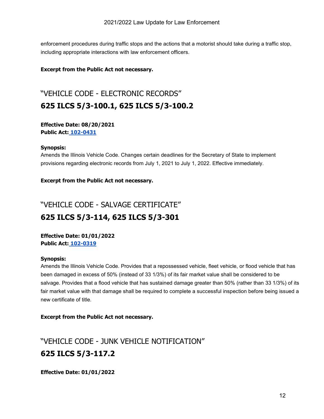enforcement procedures during traffic stops and the actions that a motorist should take during a traffic stop, including appropriate interactions with law enforcement officers.

#### **Excerpt from the Public Act not necessary.**

### "VEHICLE CODE - ELECTRONIC RECORDS" **625 ILCS 5/3-100.1, 625 ILCS 5/3-100.2**

#### **Effective Date: 08/20/2021 Public Act: [102-0431](https://ilga.gov/legislation/billstatus.asp?DocNum=2432&GAID=16&GA=102&DocTypeID=HB&LegID=131207&SessionID=110&SpecSess=)**

#### **Synopsis:**

Amends the Illinois Vehicle Code. Changes certain deadlines for the Secretary of State to implement provisions regarding electronic records from July 1, 2021 to July 1, 2022. Effective immediately.

#### **Excerpt from the Public Act not necessary.**

### "VEHICLE CODE - SALVAGE CERTIFICATE" **625 ILCS 5/3-114, 625 ILCS 5/3-301**

**Effective Date: 01/01/2022 Public Act: [102-0319](https://ilga.gov/legislation/billstatus.asp?DocNum=1545&GAID=16&GA=102&DocTypeID=SB&LegID=134178&SessionID=110&SpecSess=)**

#### **Synopsis:**

Amends the Illinois Vehicle Code. Provides that a repossessed vehicle, fleet vehicle, or flood vehicle that has been damaged in excess of 50% (instead of 33 1/3%) of its fair market value shall be considered to be salvage. Provides that a flood vehicle that has sustained damage greater than 50% (rather than 33 1/3%) of its fair market value with that damage shall be required to complete a successful inspection before being issued a new certificate of title.

**Excerpt from the Public Act not necessary.**

### "VEHICLE CODE - JUNK VEHICLE NOTIFICATION" **625 ILCS 5/3-117.2**

**Effective Date: 01/01/2022**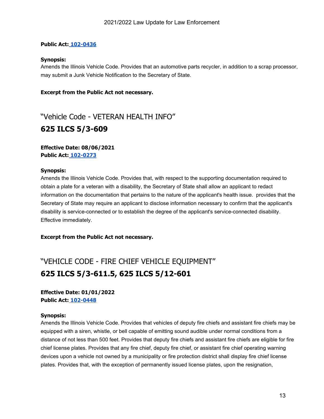#### **Public Act: [102-0436](https://ilga.gov/legislation/billstatus.asp?DocNum=2529&GAID=16&GA=102&DocTypeID=HB&LegID=131342&SessionID=110&SpecSess=)**

#### **Synopsis:**

Amends the Illinois Vehicle Code. Provides that an automotive parts recycler, in addition to a scrap processor, may submit a Junk Vehicle Notification to the Secretary of State.

#### **Excerpt from the Public Act not necessary.**

"Vehicle Code - VETERAN HEALTH INFO" **625 ILCS 5/3-609**

#### **Effective Date: 08/06/2021 Public Act: [102-0273](https://www.ilga.gov/legislation/billstatus.asp?DocNum=0694&GAID=16&GA=102&DocTypeID=HB&LegID=129209&SessionID=110&SpecSess=)**

#### **Synopsis:**

Amends the Illinois Vehicle Code. Provides that, with respect to the supporting documentation required to obtain a plate for a veteran with a disability, the Secretary of State shall allow an applicant to redact information on the documentation that pertains to the nature of the applicant's health issue. provides that the Secretary of State may require an applicant to disclose information necessary to confirm that the applicant's disability is service-connected or to establish the degree of the applicant's service-connected disability. Effective immediately.

#### **Excerpt from the Public Act not necessary.**

### "VEHICLE CODE - FIRE CHIEF VEHICLE EQUIPMENT" **625 ILCS 5/3-611.5, 625 ILCS 5/12-601**

**Effective Date: 01/01/2022 Public Act: [102-0448](https://ilga.gov/legislation/billstatus.asp?DocNum=2860&GAID=16&GA=102&DocTypeID=HB&LegID=131744&SessionID=110&SpecSess=)**

#### **Synopsis:**

Amends the Illinois Vehicle Code. Provides that vehicles of deputy fire chiefs and assistant fire chiefs may be equipped with a siren, whistle, or bell capable of emitting sound audible under normal conditions from a distance of not less than 500 feet. Provides that deputy fire chiefs and assistant fire chiefs are eligible for fire chief license plates. Provides that any fire chief, deputy fire chief, or assistant fire chief operating warning devices upon a vehicle not owned by a municipality or fire protection district shall display fire chief license plates. Provides that, with the exception of permanently issued license plates, upon the resignation,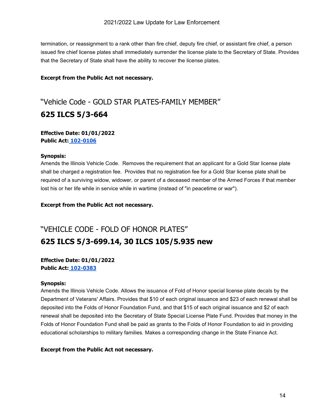termination, or reassignment to a rank other than fire chief, deputy fire chief, or assistant fire chief, a person issued fire chief license plates shall immediately surrender the license plate to the Secretary of State. Provides that the Secretary of State shall have the ability to recover the license plates.

#### **Excerpt from the Public Act not necessary.**

### "Vehicle Code - GOLD STAR PLATES-FAMILY MEMBER" **625 ILCS 5/3-664**

#### **Effective Date: 01/01/2022 Public Act: [102-0106](https://www.ilga.gov/legislation/billstatus.asp?DocNum=0020&GAID=16&GA=102&DocTypeID=HB&LegID=127831&SessionID=110&SpecSess=)**

#### **Synopsis:**

Amends the Illinois Vehicle Code. Removes the requirement that an applicant for a Gold Star license plate shall be charged a registration fee. Provides that no registration fee for a Gold Star license plate shall be required of a surviving widow, widower, or parent of a deceased member of the Armed Forces if that member lost his or her life while in service while in wartime (instead of "in peacetime or war").

**Excerpt from the Public Act not necessary.**

### "VEHICLE CODE - FOLD OF HONOR PLATES" **625 ILCS 5/3-699.14, 30 ILCS 105/5.935 new**

#### **Effective Date: 01/01/2022 Public Act: [102-0383](https://ilga.gov/legislation/billstatus.asp?DocNum=1915&GAID=16&GA=102&DocTypeID=HB&LegID=130658&SessionID=110&SpecSess=)**

#### **Synopsis:**

Amends the Illinois Vehicle Code. Allows the issuance of Fold of Honor special license plate decals by the Department of Veterans' Affairs. Provides that \$10 of each original issuance and \$23 of each renewal shall be deposited into the Folds of Honor Foundation Fund, and that \$15 of each original issuance and \$2 of each renewal shall be deposited into the Secretary of State Special License Plate Fund. Provides that money in the Folds of Honor Foundation Fund shall be paid as grants to the Folds of Honor Foundation to aid in providing educational scholarships to military families. Makes a corresponding change in the State Finance Act.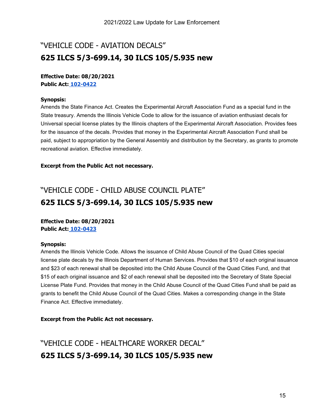### "VEHICLE CODE - AVIATION DECALS" **625 ILCS 5/3-699.14, 30 ILCS 105/5.935 new**

#### **Effective Date: 08/20/2021 Public Act: [102-0422](https://ilga.gov/legislation/billstatus.asp?DocNum=1927&GAID=16&GA=102&DocTypeID=HB&LegID=130670&SessionID=110&SpecSess=)**

#### **Synopsis:**

Amends the State Finance Act. Creates the Experimental Aircraft Association Fund as a special fund in the State treasury. Amends the Illinois Vehicle Code to allow for the issuance of aviation enthusiast decals for Universal special license plates by the Illinois chapters of the Experimental Aircraft Association. Provides fees for the issuance of the decals. Provides that money in the Experimental Aircraft Association Fund shall be paid, subject to appropriation by the General Assembly and distribution by the Secretary, as grants to promote recreational aviation. Effective immediately.

#### **Excerpt from the Public Act not necessary.**

### "VEHICLE CODE - CHILD ABUSE COUNCIL PLATE" **625 ILCS 5/3-699.14, 30 ILCS 105/5.935 new**

#### **Effective Date: 08/20/2021 Public Act: [102-0423](https://ilga.gov/legislation/billstatus.asp?DocNum=1928&GAID=16&GA=102&DocTypeID=HB&LegID=130671&SessionID=110&SpecSess=)**

#### **Synopsis:**

Amends the Illinois Vehicle Code. Allows the issuance of Child Abuse Council of the Quad Cities special license plate decals by the Illinois Department of Human Services. Provides that \$10 of each original issuance and \$23 of each renewal shall be deposited into the Child Abuse Council of the Quad Cities Fund, and that \$15 of each original issuance and \$2 of each renewal shall be deposited into the Secretary of State Special License Plate Fund. Provides that money in the Child Abuse Council of the Quad Cities Fund shall be paid as grants to benefit the Child Abuse Council of the Quad Cities. Makes a corresponding change in the State Finance Act. Effective immediately.

#### **Excerpt from the Public Act not necessary.**

"VEHICLE CODE - HEALTHCARE WORKER DECAL" **625 ILCS 5/3-699.14, 30 ILCS 105/5.935 new**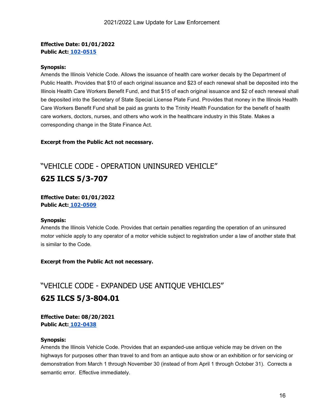#### **Effective Date: 01/01/2022 Public Act: [102-0515](https://ilga.gov/legislation/billstatus.asp?DocNum=3929&GAID=16&GA=102&DocTypeID=HB&LegID=133017&SessionID=110&SpecSess=)**

#### **Synopsis:**

Amends the Illinois Vehicle Code. Allows the issuance of health care worker decals by the Department of Public Health. Provides that \$10 of each original issuance and \$23 of each renewal shall be deposited into the Illinois Health Care Workers Benefit Fund, and that \$15 of each original issuance and \$2 of each renewal shall be deposited into the Secretary of State Special License Plate Fund. Provides that money in the Illinois Health Care Workers Benefit Fund shall be paid as grants to the Trinity Health Foundation for the benefit of health care workers, doctors, nurses, and others who work in the healthcare industry in this State. Makes a corresponding change in the State Finance Act.

#### **Excerpt from the Public Act not necessary.**

### "VEHICLE CODE - OPERATION UNINSURED VEHICLE" **625 ILCS 5/3-707**

#### **Effective Date: 01/01/2022 Public Act: [102-0509](https://ilga.gov/legislation/billstatus.asp?DocNum=3855&GAID=16&GA=102&DocTypeID=HB&LegID=132937&SessionID=110&SpecSess=)**

#### **Synopsis:**

Amends the Illinois Vehicle Code. Provides that certain penalties regarding the operation of an uninsured motor vehicle apply to any operator of a motor vehicle subject to registration under a law of another state that is similar to the Code.

#### **Excerpt from the Public Act not necessary.**

### "VEHICLE CODE - EXPANDED USE ANTIQUE VEHICLES" **625 ILCS 5/3-804.01**

**Effective Date: 08/20/2021 Public Act: [102-0438](https://ilga.gov/legislation/billstatus.asp?DocNum=2548&GAID=16&GA=102&DocTypeID=HB&LegID=131367&SessionID=110&SpecSess=)**

#### **Synopsis:**

Amends the Illinois Vehicle Code. Provides that an expanded-use antique vehicle may be driven on the highways for purposes other than travel to and from an antique auto show or an exhibition or for servicing or demonstration from March 1 through November 30 (instead of from April 1 through October 31). Corrects a semantic error. Effective immediately.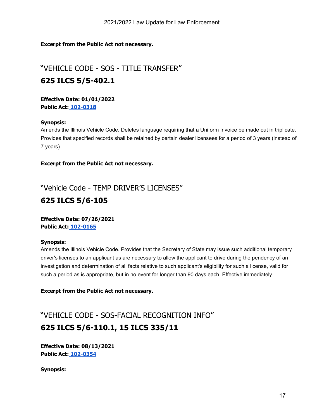**Excerpt from the Public Act not necessary.**

"VEHICLE CODE - SOS - TITLE TRANSFER" **625 ILCS 5/5-402.1**

**Effective Date: 01/01/2022 Public Act: [102-0318](https://ilga.gov/legislation/billstatus.asp?DocNum=1542&GAID=16&GA=102&DocTypeID=SB&LegID=134175&SessionID=110&SpecSess=)**

#### **Synopsis:**

Amends the Illinois Vehicle Code. Deletes language requiring that a Uniform Invoice be made out in triplicate. Provides that specified records shall be retained by certain dealer licensees for a period of 3 years (instead of 7 years).

**Excerpt from the Public Act not necessary.**

"Vehicle Code - TEMP DRIVER'S LICENSES"

### **625 ILCS 5/6-105**

**Effective Date: 07/26/2021 Public Act: [102-0165](https://www.ilga.gov/legislation/billstatus.asp?DocNum=0676&GAID=16&GA=102&DocTypeID=SB&LegID=133283&SessionID=110&SpecSess=)**

#### **Synopsis:**

Amends the Illinois Vehicle Code. Provides that the Secretary of State may issue such additional temporary driver's licenses to an applicant as are necessary to allow the applicant to drive during the pendency of an investigation and determination of all facts relative to such applicant's eligibility for such a license, valid for such a period as is appropriate, but in no event for longer than 90 days each. Effective immediately.

**Excerpt from the Public Act not necessary.**

"VEHICLE CODE - SOS-FACIAL RECOGNITION INFO" **625 ILCS 5/6-110.1, 15 ILCS 335/11**

**Effective Date: 08/13/2021 Public Act: [102-0354](https://ilga.gov/legislation/billstatus.asp?DocNum=0225&GAID=16&GA=102&DocTypeID=SB&LegID=130453&SessionID=110&SpecSess=)**

**Synopsis:**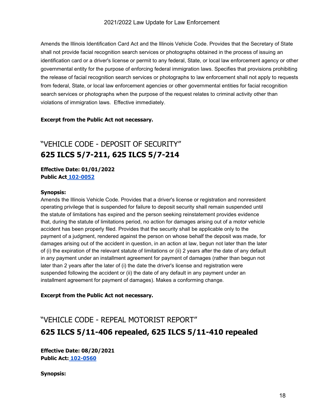Amends the Illinois Identification Card Act and the Illinois Vehicle Code. Provides that the Secretary of State shall not provide facial recognition search services or photographs obtained in the process of issuing an identification card or a driver's license or permit to any federal, State, or local law enforcement agency or other governmental entity for the purpose of enforcing federal immigration laws. Specifies that provisions prohibiting the release of facial recognition search services or photographs to law enforcement shall not apply to requests from federal, State, or local law enforcement agencies or other governmental entities for facial recognition search services or photographs when the purpose of the request relates to criminal activity other than violations of immigration laws. Effective immediately.

#### **Excerpt from the Public Act not necessary.**

### "VEHICLE CODE - DEPOSIT OF SECURITY" **625 ILCS 5/7-211, 625 ILCS 5/7-214**

**Effective Date: 01/01/2022 Public Act [102-0052](https://www.ilga.gov/legislation/billstatus.asp?DocNum=0161&GAID=16&GA=102&DocTypeID=HB&LegID=127999&SessionID=110&SpecSess=)**

#### **Synopsis:**

Amends the Illinois Vehicle Code. Provides that a driver's license or registration and nonresident operating privilege that is suspended for failure to deposit security shall remain suspended until the statute of limitations has expired and the person seeking reinstatement provides evidence that, during the statute of limitations period, no action for damages arising out of a motor vehicle accident has been properly filed. Provides that the security shall be applicable only to the payment of a judgment, rendered against the person on whose behalf the deposit was made, for damages arising out of the accident in question, in an action at law, begun not later than the later of (i) the expiration of the relevant statute of limitations or (ii) 2 years after the date of any default in any payment under an installment agreement for payment of damages (rather than begun not later than 2 years after the later of (i) the date the driver's license and registration were suspended following the accident or (ii) the date of any default in any payment under an installment agreement for payment of damages). Makes a conforming change.

#### **Excerpt from the Public Act not necessary.**

### "VEHICLE CODE - REPEAL MOTORIST REPORT" **625 ILCS 5/11-406 repealed, 625 ILCS 5/11-410 repealed**

**Effective Date: 08/20/2021 Public Act: [102-0560](https://ilga.gov/legislation/billstatus.asp?DocNum=2455&GAID=16&GA=102&DocTypeID=SB&LegID=135109&SessionID=110&SpecSess=)**

**Synopsis:**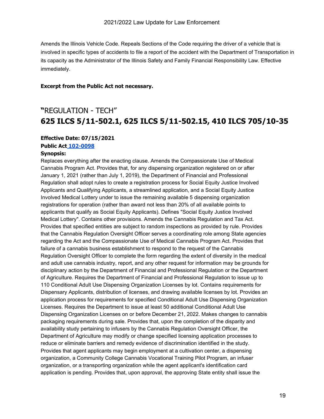Amends the Illinois Vehicle Code. Repeals Sections of the Code requiring the driver of a vehicle that is involved in specific types of accidents to file a report of the accident with the Department of Transportation in its capacity as the Administrator of the Illinois Safety and Family Financial Responsibility Law. Effective immediately.

#### **Excerpt from the Public Act not necessary.**

### **"**REGULATION - TECH" **[625 ILCS 5/1](https://ilga.gov/legislation/ilcs/fulltext.asp?DocName=062500050K11-907.1)1-502.1, 625 ILCS 5/11-502.15, 410 ILCS 705/10-35**

#### **Effective Date: 07/15/2021**

**Public Act [102-0098](https://www.ilga.gov/legislation/billstatus.asp?DocNum=1443&GAID=16&GA=102&DocTypeID=HB&LegID=130120&SessionID=110&SpecSess=)**

#### **Synopsis:**

Replaces everything after the enacting clause. Amends the Compassionate Use of Medical Cannabis Program Act. Provides that, for any dispensing organization registered on or after January 1, 2021 (rather than July 1, 2019), the Department of Financial and Professional Regulation shall adopt rules to create a registration process for Social Equity Justice Involved Applicants and Qualifying Applicants, a streamlined application, and a Social Equity Justice Involved Medical Lottery under to issue the remaining available 5 dispensing organization registrations for operation (rather than award not less than 20% of all available points to applicants that qualify as Social Equity Applicants). Defines "Social Equity Justice Involved Medical Lottery". Contains other provisions. Amends the Cannabis Regulation and Tax Act. Provides that specified entities are subject to random inspections as provided by rule. Provides that the Cannabis Regulation Oversight Officer serves a coordinating role among State agencies regarding the Act and the Compassionate Use of Medical Cannabis Program Act. Provides that failure of a cannabis business establishment to respond to the request of the Cannabis Regulation Oversight Officer to complete the form regarding the extent of diversity in the medical and adult use cannabis industry, report, and any other request for information may be grounds for disciplinary action by the Department of Financial and Professional Regulation or the Department of Agriculture. Requires the Department of Financial and Professional Regulation to issue up to 110 Conditional Adult Use Dispensing Organization Licenses by lot. Contains requirements for Dispensary Applicants, distribution of licenses, and drawing available licenses by lot. Provides an application process for requirements for specified Conditional Adult Use Dispensing Organization Licenses. Requires the Department to issue at least 50 additional Conditional Adult Use Dispensing Organization Licenses on or before December 21, 2022. Makes changes to cannabis packaging requirements during sale. Provides that, upon the completion of the disparity and availability study pertaining to infusers by the Cannabis Regulation Oversight Officer, the Department of Agriculture may modify or change specified licensing application processes to reduce or eliminate barriers and remedy evidence of discrimination identified in the study. Provides that agent applicants may begin employment at a cultivation center, a dispensing organization, a Community College Cannabis Vocational Training Pilot Program, an infuser organization, or a transporting organization while the agent applicant's identification card application is pending. Provides that, upon approval, the approving State entity shall issue the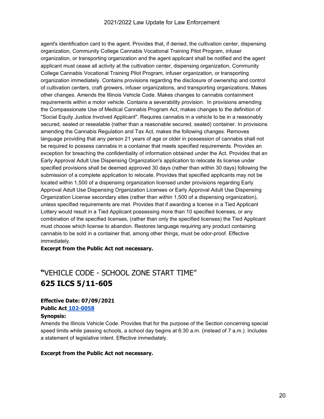#### 2021/2022 Law Update for Law Enforcement

agent's identification card to the agent. Provides that, if denied, the cultivation center, dispensing organization, Community College Cannabis Vocational Training Pilot Program, infuser organization, or transporting organization and the agent applicant shall be notified and the agent applicant must cease all activity at the cultivation center, dispensing organization, Community College Cannabis Vocational Training Pilot Program, infuser organization, or transporting organization immediately. Contains provisions regarding the disclosure of ownership and control of cultivation centers, craft growers, infuser organizations, and transporting organizations. Makes other changes. Amends the Illinois Vehicle Code. Makes changes to cannabis containment requirements within a motor vehicle. Contains a severability provision. In provisions amending the Compassionate Use of Medical Cannabis Program Act, makes changes to the definition of "Social Equity Justice Involved Applicant". Requires cannabis in a vehicle to be in a reasonably secured, sealed or resealable (rather than a reasonable secured, sealed) container. In provisions amending the Cannabis Regulation and Tax Act, makes the following changes. Removes language providing that any person 21 years of age or older in possession of cannabis shall not be required to possess cannabis in a container that meets specified requirements. Provides an exception for breaching the confidentiality of information obtained under the Act. Provides that an Early Approval Adult Use Dispensing Organization's application to relocate its license under specified provisions shall be deemed approved 30 days (rather than within 30 days) following the submission of a complete application to relocate. Provides that specified applicants may not be located within 1,500 of a dispensing organization licensed under provisions regarding Early Approval Adult Use Dispensing Organization Licenses or Early Approval Adult Use Dispensing Organization License secondary sites (rather than within 1,500 of a dispensing organization), unless specified requirements are met. Provides that if awarding a license in a Tied Applicant Lottery would result in a Tied Applicant possessing more than 10 specified licenses, or any combination of the specified licenses, (rather than only the specified licenses) the Tied Applicant must choose which license to abandon. Restores language requiring any product containing cannabis to be sold in a container that, among other things, must be odor-proof. Effective immediately.

**Excerpt from the Public Act not necessary.**

### **"**VEHICLE CODE - SCHOOL ZONE START TIME" **[625 ILCS 5/1](https://ilga.gov/legislation/ilcs/fulltext.asp?DocName=062500050K11-907.1)1-605**

#### **Effective Date: 07/09/2021 Public Act [102-0058](https://www.ilga.gov/legislation/billstatus.asp?DocNum=0343&GAID=16&GA=102&DocTypeID=HB&LegID=128245&SessionID=110&SpecSess=) Synopsis:**

Amends the Illinois Vehicle Code. Provides that for the purpose of the Section concerning special speed limits while passing schools, a school day begins at 6:30 a.m. (instead of 7 a.m.). Includes a statement of legislative intent. Effective immediately.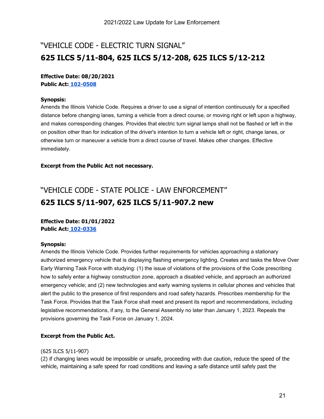### "VEHICLE CODE - ELECTRIC TURN SIGNAL" **625 ILCS 5/11-804, 625 ILCS 5/12-208, 625 ILCS 5/12-212**

#### **Effective Date: 08/20/2021 Public Act: [102-0508](https://ilga.gov/legislation/billstatus.asp?DocNum=3854&GAID=16&GA=102&DocTypeID=HB&LegID=132936&SessionID=110&SpecSess=)**

#### **Synopsis:**

Amends the Illinois Vehicle Code. Requires a driver to use a signal of intention continuously for a specified distance before changing lanes, turning a vehicle from a direct course, or moving right or left upon a highway, and makes corresponding changes. Provides that electric turn signal lamps shall not be flashed or left in the on position other than for indication of the driver's intention to turn a vehicle left or right, change lanes, or otherwise turn or maneuver a vehicle from a direct course of travel. Makes other changes. Effective immediately.

#### **Excerpt from the Public Act not necessary.**

### "VEHICLE CODE - STATE POLICE - LAW ENFORCEMENT" **625 ILCS 5/11-907, 625 ILCS 5/11-907.2 new**

#### **Effective Date: 01/01/2022 Public Act: [102-0336](https://ilga.gov/legislation/billstatus.asp?DocNum=3656&GAID=16&GA=102&DocTypeID=HB&LegID=132700&SessionID=110&SpecSess=)**

#### **Synopsis:**

Amends the Illinois Vehicle Code. Provides further requirements for vehicles approaching a stationary authorized emergency vehicle that is displaying flashing emergency lighting. Creates and tasks the Move Over Early Warning Task Force with studying: (1) the issue of violations of the provisions of the Code prescribing how to safely enter a highway construction zone, approach a disabled vehicle, and approach an authorized emergency vehicle; and (2) new technologies and early warning systems in cellular phones and vehicles that alert the public to the presence of first responders and road safety hazards. Prescribes membership for the Task Force. Provides that the Task Force shall meet and present its report and recommendations, including legislative recommendations, if any, to the General Assembly no later than January 1, 2023. Repeals the provisions governing the Task Force on January 1, 2024.

#### **Excerpt from the Public Act.**

#### (625 ILCS 5/11-907)

(2) if changing lanes would be impossible or unsafe, proceeding with due caution, reduce the speed of the vehicle, maintaining a safe speed for road conditions and leaving a safe distance until safely past the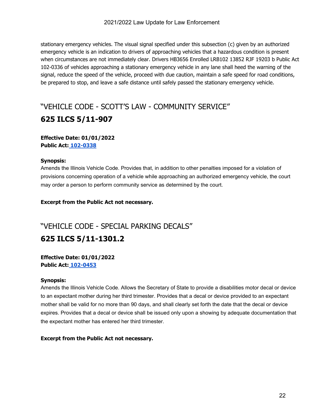stationary emergency vehicles. The visual signal specified under this subsection (c) given by an authorized emergency vehicle is an indication to drivers of approaching vehicles that a hazardous condition is present when circumstances are not immediately clear. Drivers HB3656 Enrolled LRB102 13852 RJF 19203 b Public Act 102-0336 of vehicles approaching a stationary emergency vehicle in any lane shall heed the warning of the signal, reduce the speed of the vehicle, proceed with due caution, maintain a safe speed for road conditions, be prepared to stop, and leave a safe distance until safely passed the stationary emergency vehicle.

### "VEHICLE CODE - SCOTT'S LAW - COMMUNITY SERVICE" **625 ILCS 5/11-907**

#### **Effective Date: 01/01/2022 Public Act: [102-0338](https://ilga.gov/legislation/billstatus.asp?DocNum=1913&GAID=16&GA=102&DocTypeID=SB&LegID=134567&SessionID=110&SpecSess=)**

#### **Synopsis:**

Amends the Illinois Vehicle Code. Provides that, in addition to other penalties imposed for a violation of provisions concerning operation of a vehicle while approaching an authorized emergency vehicle, the court may order a person to perform community service as determined by the court.

#### **Excerpt from the Public Act not necessary.**

### "VEHICLE CODE - SPECIAL PARKING DECALS" **625 ILCS 5/11-1301.2**

#### **Effective Date: 01/01/2022 Public Act: [102-0453](https://ilga.gov/legislation/billstatus.asp?DocNum=3027&GAID=16&GA=102&DocTypeID=HB&LegID=131949&SessionID=110&SpecSess=)**

#### **Synopsis:**

Amends the Illinois Vehicle Code. Allows the Secretary of State to provide a disabilities motor decal or device to an expectant mother during her third trimester. Provides that a decal or device provided to an expectant mother shall be valid for no more than 90 days, and shall clearly set forth the date that the decal or device expires. Provides that a decal or device shall be issued only upon a showing by adequate documentation that the expectant mother has entered her third trimester.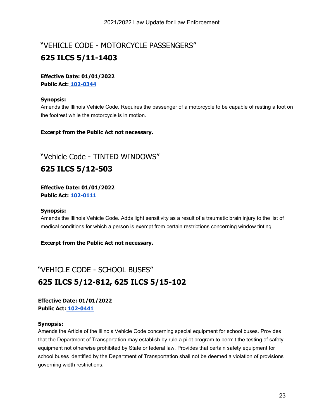### "VEHICLE CODE - MOTORCYCLE PASSENGERS" **625 ILCS 5/11-1403**

#### **Effective Date: 01/01/2022 Public Act: [102-0344](https://ilga.gov/legislation/billstatus.asp?DocNum=0656&GAID=16&GA=102&DocTypeID=HB&LegID=129144&SessionID=110&SpecSess=)**

#### **Synopsis:**

Amends the Illinois Vehicle Code. Requires the passenger of a motorcycle to be capable of resting a foot on the footrest while the motorcycle is in motion.

#### **Excerpt from the Public Act not necessary.**

"Vehicle Code - TINTED WINDOWS"

### **625 ILCS 5/12-503**

**Effective Date: 01/01/2022 Public Act: [102-0111](https://www.ilga.gov/legislation/billstatus.asp?DocNum=0096&GAID=16&GA=102&DocTypeID=HB&LegID=127908&SessionID=110&SpecSess=)**

#### **Synopsis:**

Amends the Illinois Vehicle Code. Adds light sensitivity as a result of a traumatic brain injury to the list of medical conditions for which a person is exempt from certain restrictions concerning window tinting

**Excerpt from the Public Act not necessary.**

### "VEHICLE CODE - SCHOOL BUSES" **625 ILCS 5/12-812, 625 ILCS 5/15-102**

**Effective Date: 01/01/2022 Public Act: [102-0441](https://ilga.gov/legislation/billstatus.asp?DocNum=2584&GAID=16&GA=102&DocTypeID=HB&LegID=131404&SessionID=110&SpecSess=)**

#### **Synopsis:**

Amends the Article of the Illinois Vehicle Code concerning special equipment for school buses. Provides that the Department of Transportation may establish by rule a pilot program to permit the testing of safety equipment not otherwise prohibited by State or federal law. Provides that certain safety equipment for school buses identified by the Department of Transportation shall not be deemed a violation of provisions governing width restrictions.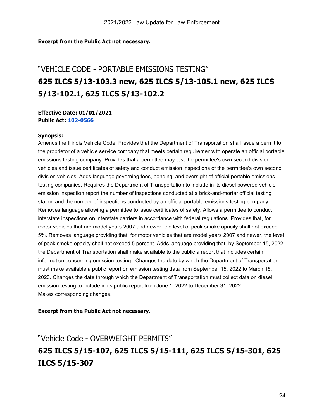#### **Excerpt from the Public Act not necessary.**

### "VEHICLE CODE - PORTABLE EMISSIONS TESTING" **625 ILCS 5/13-103.3 new, 625 ILCS 5/13-105.1 new, 625 ILCS 5/13-102.1, 625 ILCS 5/13-102.2**

**Effective Date: 01/01/2021 Public Act: [102-0566](https://ilga.gov/legislation/billstatus.asp?DocNum=2563&GAID=16&GA=102&DocTypeID=SB&LegID=135217&SessionID=110&SpecSess=)**

#### **Synopsis:**

Amends the Illinois Vehicle Code. Provides that the Department of Transportation shall issue a permit to the proprietor of a vehicle service company that meets certain requirements to operate an official portable emissions testing company. Provides that a permittee may test the permittee's own second division vehicles and issue certificates of safety and conduct emission inspections of the permittee's own second division vehicles. Adds language governing fees, bonding, and oversight of official portable emissions testing companies. Requires the Department of Transportation to include in its diesel powered vehicle emission inspection report the number of inspections conducted at a brick-and-mortar official testing station and the number of inspections conducted by an official portable emissions testing company. Removes language allowing a permittee to issue certificates of safety. Allows a permittee to conduct interstate inspections on interstate carriers in accordance with federal regulations. Provides that, for motor vehicles that are model years 2007 and newer, the level of peak smoke opacity shall not exceed 5%. Removes language providing that, for motor vehicles that are model years 2007 and newer, the level of peak smoke opacity shall not exceed 5 percent. Adds language providing that, by September 15, 2022, the Department of Transportation shall make available to the public a report that includes certain information concerning emission testing. Changes the date by which the Department of Transportation must make available a public report on emission testing data from September 15, 2022 to March 15, 2023. Changes the date through which the Department of Transportation must collect data on diesel emission testing to include in its public report from June 1, 2022 to December 31, 2022. Makes corresponding changes.

#### **Excerpt from the Public Act not necessary.**

### "Vehicle Code - OVERWEIGHT PERMITS" **625 ILCS 5/15-107, 625 ILCS 5/15-111, 625 ILCS 5/15-301, 625 ILCS 5/15-307**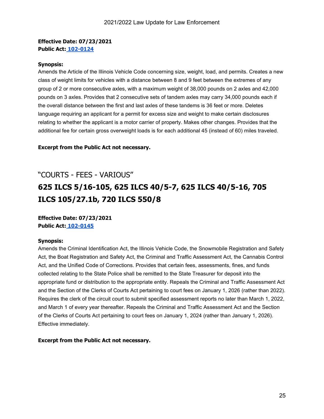#### **Effective Date: 07/23/2021 Public Act: [102-0124](https://www.ilga.gov/legislation/billstatus.asp?DocNum=0396&GAID=16&GA=102&DocTypeID=HB&LegID=128392&SessionID=110&SpecSess=)**

#### **Synopsis:**

Amends the Article of the Illinois Vehicle Code concerning size, weight, load, and permits. Creates a new class of weight limits for vehicles with a distance between 8 and 9 feet between the extremes of any group of 2 or more consecutive axles, with a maximum weight of 38,000 pounds on 2 axles and 42,000 pounds on 3 axles. Provides that 2 consecutive sets of tandem axles may carry 34,000 pounds each if the overall distance between the first and last axles of these tandems is 36 feet or more. Deletes language requiring an applicant for a permit for excess size and weight to make certain disclosures relating to whether the applicant is a motor carrier of property. Makes other changes. Provides that the additional fee for certain gross overweight loads is for each additional 45 (instead of 60) miles traveled.

**Excerpt from the Public Act not necessary.**

### "COURTS - FEES - VARIOUS" **625 ILCS 5/16-105, 625 ILCS 40/5-7, 625 ILCS 40/5-16, 705 ILCS 105/27.1b, 720 ILCS 550/8**

**Effective Date: 07/23/2021 Public Act: [102-0145](https://www.ilga.gov/legislation/billstatus.asp?DocNum=0481&GAID=16&GA=102&DocTypeID=SB&LegID=132916&SessionID=110&SpecSess=)**

#### **Synopsis:**

Amends the Criminal Identification Act, the Illinois Vehicle Code, the Snowmobile Registration and Safety Act, the Boat Registration and Safety Act, the Criminal and Traffic Assessment Act, the Cannabis Control Act, and the Unified Code of Corrections. Provides that certain fees, assessments, fines, and funds collected relating to the State Police shall be remitted to the State Treasurer for deposit into the appropriate fund or distribution to the appropriate entity. Repeals the Criminal and Traffic Assessment Act and the Section of the Clerks of Courts Act pertaining to court fees on January 1, 2026 (rather than 2022). Requires the clerk of the circuit court to submit specified assessment reports no later than March 1, 2022, and March 1 of every year thereafter. Repeals the Criminal and Traffic Assessment Act and the Section of the Clerks of Courts Act pertaining to court fees on January 1, 2024 (rather than January 1, 2026). Effective immediately.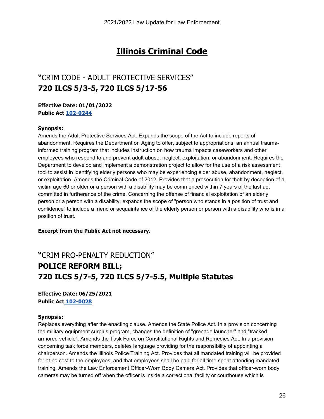### **Illinois Criminal Code**

### **"**CRIM CODE - ADULT PROTECTIVE SERVICES" **720 ILCS 5/3-5, 720 ILCS 5/17-56**

**Effective Date: 01/01/2022 Public Act [102-0244](https://www.ilga.gov/legislation/billstatus.asp?DocNum=0701&GAID=16&GA=102&DocTypeID=SB&LegID=133323&SessionID=110&SpecSess=)**

#### **Synopsis:**

Amends the Adult Protective Services Act. Expands the scope of the Act to include reports of abandonment. Requires the Department on Aging to offer, subject to appropriations, an annual traumainformed training program that includes instruction on how trauma impacts caseworkers and other employees who respond to and prevent adult abuse, neglect, exploitation, or abandonment. Requires the Department to develop and implement a demonstration project to allow for the use of a risk assessment tool to assist in identifying elderly persons who may be experiencing elder abuse, abandonment, neglect, or exploitation. Amends the Criminal Code of 2012. Provides that a prosecution for theft by deception of a victim age 60 or older or a person with a disability may be commenced within 7 years of the last act committed in furtherance of the crime. Concerning the offense of financial exploitation of an elderly person or a person with a disability, expands the scope of "person who stands in a position of trust and confidence" to include a friend or acquaintance of the elderly person or person with a disability who is in a position of trust.

**Excerpt from the Public Act not necessary.**

### **"**CRIM PRO-PENALTY REDUCTION" **POLICE REFORM BILL; 720 ILCS 5/7-5, 720 ILCS 5/7-5.5, Multiple Statutes**

**Effective Date: 06/25/2021 Public Act [102-0028](https://www.ilga.gov/legislation/billstatus.asp?DocNum=3443&GAID=16&GA=102&DocTypeID=HB&LegID=132416&SessionID=110&SpecSess=)**

#### **Synopsis:**

Replaces everything after the enacting clause. Amends the State Police Act. In a provision concerning the military equipment surplus program, changes the definition of "grenade launcher" and "tracked armored vehicle". Amends the Task Force on Constitutional Rights and Remedies Act. In a provision concerning task force members, deletes language providing for the responsibility of appointing a chairperson. Amends the Illinois Police Training Act. Provides that all mandated training will be provided for at no cost to the employees, and that employees shall be paid for all time spent attending mandated training. Amends the Law Enforcement Officer-Worn Body Camera Act. Provides that officer-worn body cameras may be turned off when the officer is inside a correctional facility or courthouse which is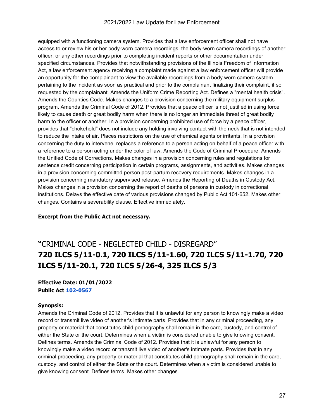#### 2021/2022 Law Update for Law Enforcement

equipped with a functioning camera system. Provides that a law enforcement officer shall not have access to or review his or her body-worn camera recordings, the body-worn camera recordings of another officer, or any other recordings prior to completing incident reports or other documentation under specified circumstances. Provides that notwithstanding provisions of the Illinois Freedom of Information Act, a law enforcement agency receiving a complaint made against a law enforcement officer will provide an opportunity for the complainant to view the available recordings from a body worn camera system pertaining to the incident as soon as practical and prior to the complainant finalizing their complaint, if so requested by the complainant. Amends the Uniform Crime Reporting Act. Defines a "mental health crisis". Amends the Counties Code. Makes changes to a provision concerning the military equipment surplus program. Amends the Criminal Code of 2012. Provides that a peace officer is not justified in using force likely to cause death or great bodily harm when there is no longer an immediate threat of great bodily harm to the officer or another. In a provision concerning prohibited use of force by a peace officer, provides that "chokehold" does not include any holding involving contact with the neck that is not intended to reduce the intake of air. Places restrictions on the use of chemical agents or irritants. In a provision concerning the duty to intervene, replaces a reference to a person acting on behalf of a peace officer with a reference to a person acting under the color of law. Amends the Code of Criminal Procedure. Amends the Unified Code of Corrections. Makes changes in a provision concerning rules and regulations for sentence credit concerning participation in certain programs, assignments, and activities. Makes changes in a provision concerning committed person post-partum recovery requirements. Makes changes in a provision concerning mandatory supervised release. Amends the Reporting of Deaths in Custody Act. Makes changes in a provision concerning the report of deaths of persons in custody in correctional institutions. Delays the effective date of various provisions changed by Public Act 101-652. Makes other changes. Contains a severability clause. Effective immediately.

#### **Excerpt from the Public Act not necessary.**

### **"**CRIMINAL CODE - NEGLECTED CHILD - DISREGARD" **720 ILCS 5/11-0.1, 720 ILCS 5/11-1.60, 720 ILCS 5/11-1.70, 720 ILCS 5/11-20.1, 720 ILCS 5/26-4, 325 ILCS 5/3**

**Effective Date: 01/01/2022 Public Act [102-0567](https://ilga.gov/legislation/billstatus.asp?DocNum=2567&GAID=16&GA=102&DocTypeID=SB&LegID=135221&SessionID=110&SpecSess=)**

#### **Synopsis:**

Amends the Criminal Code of 2012. Provides that it is unlawful for any person to knowingly make a video record or transmit live video of another's intimate parts. Provides that in any criminal proceeding, any property or material that constitutes child pornography shall remain in the care, custody, and control of either the State or the court. Determines when a victim is considered unable to give knowing consent. Defines terms. Amends the Criminal Code of 2012. Provides that it is unlawful for any person to knowingly make a video record or transmit live video of another's intimate parts. Provides that in any criminal proceeding, any property or material that constitutes child pornography shall remain in the care, custody, and control of either the State or the court. Determines when a victim is considered unable to give knowing consent. Defines terms. Makes other changes.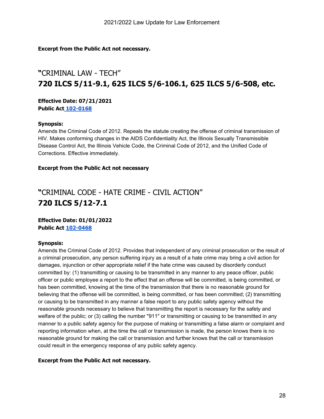#### **Excerpt from the Public Act not necessary.**

### **"**CRIMINAL LAW - TECH" **720 ILCS 5/11-9.1, 625 ILCS 5/6-106.1, 625 ILCS 5/6-508, etc.**

**Effective Date: 07/21/2021 Public Act [102-0168](https://www.ilga.gov/legislation/billstatus.asp?DocNum=1063&GAID=16&GA=102&DocTypeID=HB&LegID=129731&SessionID=110&SpecSess=)**

#### **Synopsis:**

Amends the Criminal Code of 2012. Repeals the statute creating the offense of criminal transmission of HIV. Makes conforming changes in the AIDS Confidentiality Act, the Illinois Sexually Transmissible Disease Control Act, the Illinois Vehicle Code, the Criminal Code of 2012, and the Unified Code of Corrections. Effective immediately.

#### **Excerpt from the Public Act not necessary**

### **"**CRIMINAL CODE - HATE CRIME - CIVIL ACTION" **720 ILCS 5/12-7.1**

**Effective Date: 01/01/2022 Public Act [102-0468](https://ilga.gov/legislation/billstatus.asp?DocNum=3262&GAID=16&GA=102&DocTypeID=HB&LegID=132194&SessionID=110&SpecSess=)**

#### **Synopsis:**

Amends the Criminal Code of 2012. Provides that independent of any criminal prosecution or the result of a criminal prosecution, any person suffering injury as a result of a hate crime may bring a civil action for damages, injunction or other appropriate relief if the hate crime was caused by disorderly conduct committed by: (1) transmitting or causing to be transmitted in any manner to any peace officer, public officer or public employee a report to the effect that an offense will be committed, is being committed, or has been committed, knowing at the time of the transmission that there is no reasonable ground for believing that the offense will be committed, is being committed, or has been committed; (2) transmitting or causing to be transmitted in any manner a false report to any public safety agency without the reasonable grounds necessary to believe that transmitting the report is necessary for the safety and welfare of the public; or (3) calling the number "911" or transmitting or causing to be transmitted in any manner to a public safety agency for the purpose of making or transmitting a false alarm or complaint and reporting information when, at the time the call or transmission is made, the person knows there is no reasonable ground for making the call or transmission and further knows that the call or transmission could result in the emergency response of any public safety agency.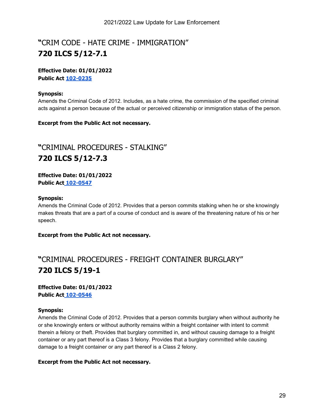### **"**CRIM CODE - HATE CRIME - IMMIGRATION" **720 ILCS 5/12-7.1**

#### **Effective Date: 01/01/2022 Public Act [102-0235](https://www.ilga.gov/legislation/billstatus.asp?DocNum=1596&GAID=16&GA=102&DocTypeID=SB&LegID=134229&SessionID=110&SpecSess=)**

#### **Synopsis:**

Amends the Criminal Code of 2012. Includes, as a hate crime, the commission of the specified criminal acts against a person because of the actual or perceived citizenship or immigration status of the person.

#### **Excerpt from the Public Act not necessary.**

### **"**CRIMINAL PROCEDURES - STALKING" **720 ILCS 5/12-7.3**

**Effective Date: 01/01/2022 Public Act [102-0547](https://ilga.gov/legislation/billstatus.asp?DocNum=2204&GAID=16&GA=102&DocTypeID=SB&LegID=134857&SessionID=110&SpecSess=)**

#### **Synopsis:**

Amends the Criminal Code of 2012. Provides that a person commits stalking when he or she knowingly makes threats that are a part of a course of conduct and is aware of the threatening nature of his or her speech.

**Excerpt from the Public Act not necessary.**

### **"**CRIMINAL PROCEDURES - FREIGHT CONTAINER BURGLARY" **720 ILCS 5/19-1**

#### **Effective Date: 01/01/2022 Public Act [102-0546](https://ilga.gov/legislation/billstatus.asp?DocNum=2193&GAID=16&GA=102&DocTypeID=SB&LegID=134846&SessionID=110&SpecSess=)**

#### **Synopsis:**

Amends the Criminal Code of 2012. Provides that a person commits burglary when without authority he or she knowingly enters or without authority remains within a freight container with intent to commit therein a felony or theft. Provides that burglary committed in, and without causing damage to a freight container or any part thereof is a Class 3 felony. Provides that a burglary committed while causing damage to a freight container or any part thereof is a Class 2 felony.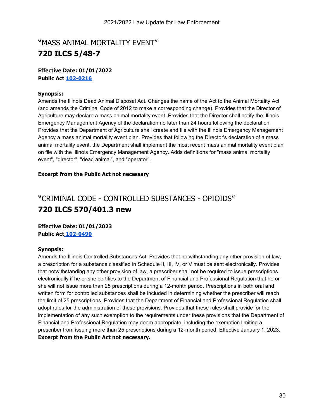### **"**MASS ANIMAL MORTALITY EVENT" **720 ILCS 5/48-7**

#### **Effective Date: 01/01/2022 Public Act [102-0216](https://www.ilga.gov/legislation/billstatus.asp?DocNum=1656&GAID=16&GA=102&DocTypeID=SB&LegID=134291&SessionID=110&SpecSess=)**

#### **Synopsis:**

Amends the Illinois Dead Animal Disposal Act. Changes the name of the Act to the Animal Mortality Act (and amends the Criminal Code of 2012 to make a corresponding change). Provides that the Director of Agriculture may declare a mass animal mortality event. Provides that the Director shall notify the Illinois Emergency Management Agency of the declaration no later than 24 hours following the declaration. Provides that the Department of Agriculture shall create and file with the Illinois Emergency Management Agency a mass animal mortality event plan. Provides that following the Director's declaration of a mass animal mortality event, the Department shall implement the most recent mass animal mortality event plan on file with the Illinois Emergency Management Agency. Adds definitions for "mass animal mortality event", "director", "dead animal", and "operator".

#### **Excerpt from the Public Act not necessary**

### **"**CRIMINAL CODE - CONTROLLED SUBSTANCES - OPIOIDS" **720 ILCS 570/401.3 new**

**Effective Date: 01/01/2023 Public Act [102-0490](https://ilga.gov/legislation/billstatus.asp?DocNum=3596&GAID=16&GA=102&DocTypeID=HB&LegID=132636&SessionID=110&SpecSess=)**

#### **Synopsis:**

Amends the Illinois Controlled Substances Act. Provides that notwithstanding any other provision of law, a prescription for a substance classified in Schedule II, III, IV, or V must be sent electronically. Provides that notwithstanding any other provision of law, a prescriber shall not be required to issue prescriptions electronically if he or she certifies to the Department of Financial and Professional Regulation that he or she will not issue more than 25 prescriptions during a 12-month period. Prescriptions in both oral and written form for controlled substances shall be included in determining whether the prescriber will reach the limit of 25 prescriptions. Provides that the Department of Financial and Professional Regulation shall adopt rules for the administration of these provisions. Provides that these rules shall provide for the implementation of any such exemption to the requirements under these provisions that the Department of Financial and Professional Regulation may deem appropriate, including the exemption limiting a prescriber from issuing more than 25 prescriptions during a 12-month period. Effective January 1, 2023. **Excerpt from the Public Act not necessary.**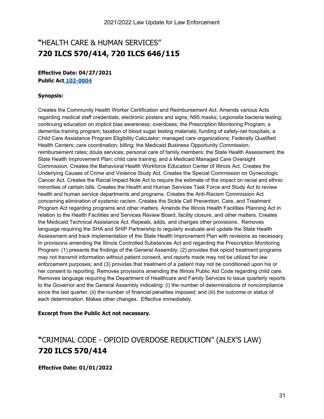### **"**HEALTH CARE & HUMAN SERVICES" **720 [ILCS 570/4](https://ilga.gov/legislation/ilcs/fulltext.asp?DocName=062500050K11-907.1)14, 720 ILCS 646/115**

#### **Effective Date: 04/27/2021 Public Act [102-0004](https://www.ilga.gov/legislation/billstatus.asp?DocNum=0158&GAID=16&GA=102&DocTypeID=HB&LegID=127994&SessionID=110&SpecSess=)**

#### **Synopsis:**

Creates the Community Health Worker Certification and Reimbursement Act. Amends various Acts regarding medical staff credentials; electronic posters and signs; N95 masks; Legionella bacteria testing; continuing education on implicit bias awareness; overdoses; the Prescription Monitoring Program; a dementia training program; taxation of blood sugar testing materials; funding of safety-net hospitals; a Child Care Assistance Program Eligibility Calculator; managed care organizations; Federally Qualified Health Centers; care coordination; billing; the Medicaid Business Opportunity Commission; reimbursement rates; doula services; personal care of family members; the State Health Assessment; the State Health Improvement Plan; child care training; and a Medicaid Managed Care Oversight Commission. Creates the Behavioral Health Workforce Education Center of Illinois Act. Creates the Underlying Causes of Crime and Violence Study Act. Creates the Special Commission on Gynecologic Cancer Act. Creates the Racial Impact Note Act to require the estimate of the impact on racial and ethnic minorities of certain bills. Creates the Health and Human Services Task Force and Study Act to review health and human service departments and programs. Creates the Anti-Racism Commission Act concerning elimination of systemic racism. Creates the Sickle Cell Prevention, Care, and Treatment Program Act regarding programs and other matters. Amends the Illinois Health Facilities Planning Act in relation to the Health Facilities and Services Review Board, facility closure, and other matters. Creates the Medicaid Technical Assistance Act. Repeals, adds, and changes other provisions. Removes language requiring the SHA and SHIP Partnership to regularly evaluate and update the State Health Assessment and track implementation of the State Health Improvement Plan with revisions as necessary. In provisions amending the Illinois Controlled Substances Act and regarding the Prescription Monitoring Program: (1) presents the findings of the General Assembly; (2) provides that opioid treatment programs may not transmit information without patient consent, and reports made may not be utilized for law enforcement purposes; and (3) provides that treatment of a patient may not be conditioned upon his or her consent to reporting. Removes provisions amending the Illinois Public Aid Code regarding child care. Removes language requiring the Department of Healthcare and Family Services to issue quarterly reports to the Governor and the General Assembly indicating: (i) the number of determinations of noncompliance since the last quarter; (ii) the number of financial penalties imposed; and (iii) the outcome or status of each determination. Makes other changes. Effective immediately.

#### **Excerpt from the Public Act not necessary.**

### **"**CRIMINAL CODE - OPIOID OVERDOSE REDUCTION" (ALEX'S LAW) **720 ILCS 570/414**

**Effective Date: 01/01/2022**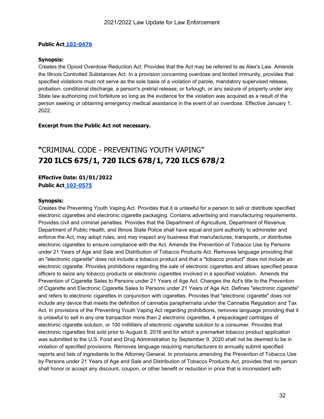#### **Public Act [102-0476](https://ilga.gov/legislation/billstatus.asp?DocNum=3445&GAID=16&GA=102&DocTypeID=HB&LegID=132418&SessionID=110&SpecSess=)**

#### **Synopsis:**

Creates the Opioid Overdose Reduction Act. Provides that the Act may be referred to as Alex's Law. Amends the Illinois Controlled Substances Act. In a provision concerning overdose and limited immunity, provides that specified violations must not serve as the sole basis of a violation of parole, mandatory supervised release, probation, conditional discharge, a person's pretrial release, or furlough, or any seizure of property under any State law authorizing civil forfeiture so long as the evidence for the violation was acquired as a result of the person seeking or obtaining emergency medical assistance in the event of an overdose. Effective January 1, 2022.

#### **Excerpt from the Public Act not necessary.**

### **"**CRIMINAL CODE - PREVENTING YOUTH VAPING" **720 ILCS 675/1, 720 ILCS 678/1, 720 ILCS 678/2**

#### **Effective Date: 01/01/2022 Public Act [102-0575](https://ilga.gov/legislation/billstatus.asp?DocNum=0512&GAID=16&GA=102&DocTypeID=SB&LegID=133094&SessionID=110&SpecSess=)**

#### **Synopsis:**

Creates the Preventing Youth Vaping Act. Provides that it is unlawful for a person to sell or distribute specified electronic cigarettes and electronic cigarette packaging. Contains advertising and manufacturing requirements. Provides civil and criminal penalties. Provides that the Department of Agriculture, Department of Revenue, Department of Public Health, and Illinois State Police shall have equal and joint authority to administer and enforce the Act, may adopt rules, and may inspect any business that manufactures, transports, or distributes electronic cigarettes to ensure compliance with the Act. Amends the Prevention of Tobacco Use by Persons under 21 Years of Age and Sale and Distribution of Tobacco Products Act. Removes language providing that an "electronic cigarette" does not include a tobacco product and that a "tobacco product" does not include an electronic cigarette. Provides prohibitions regarding the sale of electronic cigarettes and allows specified peace officers to seize any tobacco products or electronic cigarettes involved in a specified violation. Amends the Prevention of Cigarette Sales to Persons under 21 Years of Age Act. Changes the Act's title to the Prevention of Cigarette and Electronic Cigarette Sales to Persons under 21 Years of Age Act. Defines "electronic cigarette" and refers to electronic cigarettes in conjunction with cigarettes. Provides that "electronic cigarette" does not include any device that meets the definition of cannabis paraphernalia under the Cannabis Regulation and Tax Act. In provisions of the Preventing Youth Vaping Act regarding prohibitions, removes language providing that it is unlawful to sell in any one transaction more than 2 electronic cigarettes, 4 prepackaged cartridges of electronic cigarette solution, or 100 milliliters of electronic cigarette solution to a consumer. Provides that electronic cigarettes first sold prior to August 8, 2016 and for which a premarket tobacco product application was submitted to the U.S. Food and Drug Administration by September 9, 2020 shall not be deemed to be in violation of specified provisions. Removes language requiring manufacturers to annually submit specified reports and lists of ingredients to the Attorney General. In provisions amending the Prevention of Tobacco Use by Persons under 21 Years of Age and Sale and Distribution of Tobacco Products Act, provides that no person shall honor or accept any discount, coupon, or other benefit or reduction in price that is inconsistent with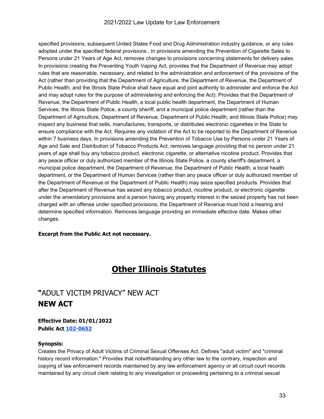#### 2021/2022 Law Update for Law Enforcement

specified provisions, subsequent United States Food and Drug Administration industry guidance, or any rules adopted under the specified federal provisions.. In provisions amending the Prevention of Cigarette Sales to Persons under 21 Years of Age Act, removes changes to provisions concerning statements for delivery sales. In provisions creating the Preventing Youth Vaping Act, provides that the Department of Revenue may adopt rules that are reasonable, necessary, and related to the administration and enforcement of the provisions of the Act (rather than providing that the Department of Agriculture, the Department of Revenue, the Department of Public Health, and the Illinois State Police shall have equal and joint authority to administer and enforce the Act and may adopt rules for the purpose of administering and enforcing the Act). Provides that the Department of Revenue, the Department of Public Health, a local public health department, the Department of Human Services, the Illinois State Police, a county sheriff, and a municipal police department (rather than the Department of Agriculture, Department of Revenue, Department of Public Health, and Illinois State Police) may inspect any business that sells, manufactures, transports, or distributes electronic cigarettes in the State to ensure compliance with the Act. Requires any violation of the Act to be reported to the Department of Revenue within 7 business days. In provisions amending the Prevention of Tobacco Use by Persons under 21 Years of Age and Sale and Distribution of Tobacco Products Act, removes language providing that no person under 21 years of age shall buy any tobacco product, electronic cigarette, or alternative nicotine product. Provides that any peace officer or duly authorized member of the Illinois State Police, a county sheriff's department, a municipal police department, the Department of Revenue, the Department of Public Health, a local health department, or the Department of Human Services (rather than any peace officer or duly authorized member of the Department of Revenue or the Department of Public Health) may seize specified products. Provides that after the Department of Revenue has seized any tobacco product, nicotine product, or electronic cigarette under the amendatory provisions and a person having any property interest in the seized property has not been charged with an offense under specified provisions, the Department of Revenue must hold a hearing and determine specified information. Removes language providing an immediate effective date. Makes other changes.

#### **Excerpt from the Public Act not necessary.**

### **Other Illinois Statutes**

### **"**ADULT VICTIM PRIVACY" NEW ACT **NEW ACT**

#### **Effective Date: 01/01/2022 Public Act [102-0652](https://ilga.gov/legislation/billstatus.asp?DocNum=2340&GAID=16&GA=102&DocTypeID=SB&LegID=134994&SessionID=110&SpecSess=)**

#### **Synopsis:**

Creates the Privacy of Adult Victims of Criminal Sexual Offenses Act. Defines "adult victim" and "criminal history record information." Provides that notwithstanding any other law to the contrary, inspection and copying of law enforcement records maintained by any law enforcement agency or all circuit court records maintained by any circuit clerk relating to any investigation or proceeding pertaining to a criminal sexual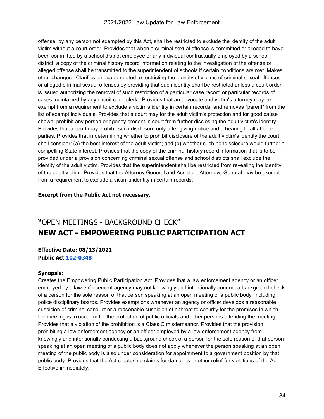#### 2021/2022 Law Update for Law Enforcement

offense, by any person not exempted by this Act, shall be restricted to exclude the identity of the adult victim without a court order. Provides that when a criminal sexual offense is committed or alleged to have been committed by a school district employee or any individual contractually employed by a school district, a copy of the criminal history record information relating to the investigation of the offense or alleged offense shall be transmitted to the superintendent of schools if certain conditions are met. Makes other changes. Clarifies language related to restricting the identity of victims of criminal sexual offenses or alleged criminal sexual offenses by providing that such identity shall be restricted unless a court order is issued authorizing the removal of such restriction of a particular case record or particular records of cases maintained by any circuit court clerk. Provides that an advocate and victim's attorney may be exempt from a requirement to exclude a victim's identity in certain records, and removes "parent" from the list of exempt individuals. Provides that a court may for the adult victim's protection and for good cause shown, prohibit any person or agency present in court from further disclosing the adult victim's identity. Provides that a court may prohibit such disclosure only after giving notice and a hearing to all affected parties. Provides that in determining whether to prohibit disclosure of the adult victim's identity the court shall consider: (a) the best interest of the adult victim; and (b) whether such nondisclosure would further a compelling State interest. Provides that the copy of the criminal history record information that is to be provided under a provision concerning criminal sexual offense and school districts shall exclude the identity of the adult victim. Provides that the superintendent shall be restricted from revealing the identity of the adult victim. Provides that the Attorney General and Assistant Attorneys General may be exempt from a requirement to exclude a victim's identity in certain records.

#### **Excerpt from the Public Act not necessary.**

### **"**OPEN MEETINGS - BACKGROUND CHECK" **NEW ACT - EMPOWERING PUBLIC PARTICIPATION ACT**

#### **Effective Date: 08/13/2021 Public Act [102-0348](https://ilga.gov/legislation/billstatus.asp?DocNum=1765&GAID=16&GA=102&DocTypeID=HB&LegID=130461&SessionID=110&SpecSess=)**

#### **Synopsis:**

Creates the Empowering Public Participation Act. Provides that a law enforcement agency or an officer employed by a law enforcement agency may not knowingly and intentionally conduct a background check of a person for the sole reason of that person speaking at an open meeting of a public body, including police disciplinary boards. Provides exemptions whenever an agency or officer develops a reasonable suspicion of criminal conduct or a reasonable suspicion of a threat to security for the premises in which the meeting is to occur or for the protection of public officials and other persons attending the meeting. Provides that a violation of the prohibition is a Class C misdemeanor. Provides that the provision prohibiting a law enforcement agency or an officer employed by a law enforcement agency from knowingly and intentionally conducting a background check of a person for the sole reason of that person speaking at an open meeting of a public body does not apply whenever the person speaking at an open meeting of the public body is also under consideration for appointment to a government position by that public body. Provides that the Act creates no claims for damages or other relief for violations of the Act. Effective immediately.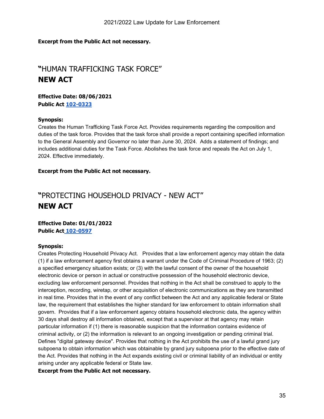#### **Excerpt from the Public Act not necessary.**

### **"**HUMAN TRAFFICKING TASK FORCE" **NEW ACT**

**Effective Date: 08/06/2021 Public Act [102-0323](https://ilga.gov/legislation/billstatus.asp?DocNum=1599&GAID=16&GA=102&DocTypeID=SB&LegID=134232&SessionID=110&SpecSess=)**

#### **Synopsis:**

Creates the Human Trafficking Task Force Act. Provides requirements regarding the composition and duties of the task force. Provides that the task force shall provide a report containing specified information to the General Assembly and Governor no later than June 30, 2024. Adds a statement of findings; and includes additional duties for the Task Force. Abolishes the task force and repeals the Act on July 1, 2024. Effective immediately.

#### **Excerpt from the Public Act not necessary.**

### **"**PROTECTING HOUSEHOLD PRIVACY - NEW ACT" **NEW ACT**

**Effective Date: 01/01/2022 Public Act [102-0597](https://ilga.gov/legislation/billstatus.asp?DocNum=2553&GAID=16&GA=102&DocTypeID=HB&LegID=131372&SessionID=110&SpecSess=)**

#### **Synopsis:**

Creates Protecting Household Privacy Act. Provides that a law enforcement agency may obtain the data (1) if a law enforcement agency first obtains a warrant under the Code of Criminal Procedure of 1963; (2) a specified emergency situation exists; or (3) with the lawful consent of the owner of the household electronic device or person in actual or constructive possession of the household electronic device, excluding law enforcement personnel. Provides that nothing in the Act shall be construed to apply to the interception, recording, wiretap, or other acquisition of electronic communications as they are transmitted in real time. Provides that in the event of any conflict between the Act and any applicable federal or State law, the requirement that establishes the higher standard for law enforcement to obtain information shall govern. Provides that if a law enforcement agency obtains household electronic data, the agency within 30 days shall destroy all information obtained, except that a supervisor at that agency may retain particular information if (1) there is reasonable suspicion that the information contains evidence of criminal activity, or (2) the information is relevant to an ongoing investigation or pending criminal trial. Defines "digital gateway device". Provides that nothing in the Act prohibits the use of a lawful grand jury subpoena to obtain information which was obtainable by grand jury subpoena prior to the effective date of the Act. Provides that nothing in the Act expands existing civil or criminal liability of an individual or entity arising under any applicable federal or State law.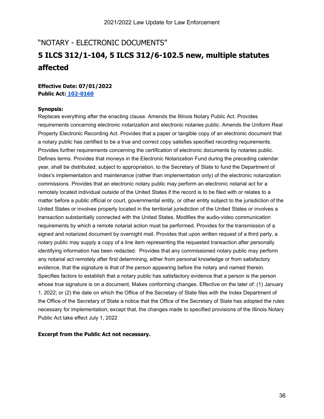### "NOTARY - ELECTRONIC DOCUMENTS" **5 ILCS 312/1-104, 5 ILCS 312/6-102.5 new, multiple statutes affected**

#### **Effective Date: 07/01/2022 Public Act: [102-0160](https://www.ilga.gov/legislation/billstatus.asp?DocNum=2664&GAID=16&GA=102&DocTypeID=SB&LegID=135318&SessionID=110&SpecSess=)**

#### **Synopsis:**

Replaces everything after the enacting clause. Amends the Illinois Notary Public Act. Provides requirements concerning electronic notarization and electronic notaries public. Amends the Uniform Real Property Electronic Recording Act. Provides that a paper or tangible copy of an electronic document that a notary public has certified to be a true and correct copy satisfies specified recording requirements. Provides further requirements concerning the certification of electronic documents by notaries public. Defines terms. Provides that moneys in the Electronic Notarization Fund during the preceding calendar year, shall be distributed, subject to appropriation, to the Secretary of State to fund the Department of Index's implementation and maintenance (rather than implementation only) of the electronic notarization commissions. Provides that an electronic notary public may perform an electronic notarial act for a remotely located individual outside of the United States if the record is to be filed with or relates to a matter before a public official or court, governmental entity, or other entity subject to the jurisdiction of the United States or involves property located in the territorial jurisdiction of the United States or involves a transaction substantially connected with the United States. Modifies the audio-video communication requirements by which a remote notarial action must be performed. Provides for the transmission of a signed and notarized document by overnight mail. Provides that upon written request of a third party, a notary public may supply a copy of a line item representing the requested transaction after personally identifying information has been redacted. Provides that any commissioned notary public may perform any notarial act remotely after first determining, either from personal knowledge or from satisfactory evidence, that the signature is that of the person appearing before the notary and named therein. Specifies factors to establish that a notary public has satisfactory evidence that a person is the person whose true signature is on a document, Makes conforming changes. Effective on the later of: (1) January 1, 2022; or (2) the date on which the Office of the Secretary of State files with the Index Department of the Office of the Secretary of State a notice that the Office of the Secretary of State has adopted the rules necessary for implementation; except that, the changes made to specified provisions of the Illinois Notary Public Act take effect July 1, 2022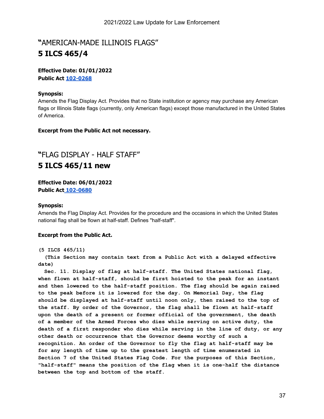### **"**AMERICAN-MADE ILLINOIS FLAGS" **5 ILCS 465/4**

#### **Effective Date: 01/01/2022 Public Act [102-0268](https://www.ilga.gov/legislation/billstatus.asp?DocNum=0605&GAID=16&GA=102&DocTypeID=HB&LegID=128699&SessionID=110&SpecSess=)**

#### **Synopsis:**

Amends the Flag Display Act. Provides that no State institution or agency may purchase any American flags or Illinois State flags (currently, only American flags) except those manufactured in the United States of America.

#### **Excerpt from the Public Act not necessary.**

### **"**FLAG DISPLAY - HALF STAFF" **5 ILCS 465/11 new**

**Effective Date: 06/01/2022 Public Act [102-0680](https://ilga.gov/legislation/billstatus.asp?DocNum=3372&GAID=16&GA=102&DocTypeID=HB&LegID=132323&SessionID=110&SpecSess=)** 

#### **Synopsis:**

Amends the Flag Display Act. Provides for the procedure and the occasions in which the United States national flag shall be flown at half-staff. Defines "half-staff".

#### **Excerpt from the Public Act.**

#### **(5 ILCS 465/11)**

 **(This Section may contain text from a Public Act with a delayed effective date)**

 **Sec. 11. Display of flag at half-staff. The United States national flag, when flown at half-staff, should be first hoisted to the peak for an instant and then lowered to the half-staff position. The flag should be again raised to the peak before it is lowered for the day. On Memorial Day, the flag should be displayed at half-staff until noon only, then raised to the top of the staff. By order of the Governor, the flag shall be flown at half-staff upon the death of a present or former official of the government, the death of a member of the Armed Forces who dies while serving on active duty, the death of a first responder who dies while serving in the line of duty, or any other death or occurrence that the Governor deems worthy of such a recognition. An order of the Governor to fly the flag at half-staff may be for any length of time up to the greatest length of time enumerated in Section 7 of the United States Flag Code. For the purposes of this Section, "half-staff" means the position of the flag when it is one-half the distance between the top and bottom of the staff.**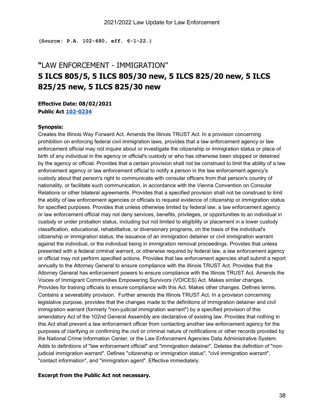**(Source: P.A. 102-680, eff. 6-1-22.)**

### **"**LAW ENFORCEMENT - IMMIGRATION" **5 ILCS 805/5, 5 ILCS 805/30 new, 5 ILCS 825/20 new, 5 ILCS 825/25 new, 5 ILCS 825/30 new**

#### **Effective Date: 08/02/2021 Public Act [102-0234](https://www.ilga.gov/legislation/billstatus.asp?DocNum=0667&GAID=16&GA=102&DocTypeID=SB&LegID=133273&SessionID=110&SpecSess=)**

#### **Synopsis:**

Creates the Illinois Way Forward Act. Amends the Illinois TRUST Act. In a provision concerning prohibition on enforcing federal civil immigration laws, provides that a law enforcement agency or law enforcement official may not inquire about or investigate the citizenship or immigration status or place of birth of any individual in the agency or official's custody or who has otherwise been stopped or detained by the agency or official. Provides that a certain provision shall not be construed to limit the ability of a law enforcement agency or law enforcement official to notify a person in the law enforcement agency's custody about that person's right to communicate with consular officers from that person's country of nationality, or facilitate such communication, in accordance with the Vienna Convention on Consular Relations or other bilateral agreements. Provides that a specified provision shall not be construed to limit the ability of law enforcement agencies or officials to request evidence of citizenship or immigration status for specified purposes. Provides that unless otherwise limited by federal law, a law enforcement agency or law enforcement official may not deny services, benefits, privileges, or opportunities to an individual in custody or under probation status, including but not limited to eligibility or placement in a lower custody classification, educational, rehabilitative, or diversionary programs, on the basis of the individual's citizenship or immigration status, the issuance of an immigration detainer or civil immigration warrant against the individual, or the individual being in immigration removal proceedings. Provides that unless presented with a federal criminal warrant, or otherwise required by federal law, a law enforcement agency or official may not perform specified actions. Provides that law enforcement agencies shall submit a report annually to the Attorney General to ensure compliance with the Illinois TRUST Act. Provides that the Attorney General has enforcement powers to ensure compliance with the Illinois TRUST Act. Amends the Voices of Immigrant Communities Empowering Survivors (VOICES) Act. Makes similar changes. Provides for training officials to ensure compliance with this Act. Makes other changes. Defines terms. Contains a severability provision. Further amends the Illinois TRUST Act. In a provision concerning legislative purpose, provides that the changes made to the definitions of immigration detainer and civil immigration warrant (formerly "non-judicial immigration warrant") by a specified provision of this amendatory Act of the 102nd General Assembly are declarative of existing law. Provides that nothing in this Act shall prevent a law enforcement officer from contacting another law enforcement agency for the purposes of clarifying or confirming the civil or criminal nature of notifications or other records provided by the National Crime Information Center, or the Law Enforcement Agencies Data Administrative System. Adds to definitions of "law enforcement official" and "immigration detainer". Deletes the definition of "nonjudicial immigration warrant". Defines "citizenship or immigration status", "civil immigration warrant", "contact information", and "immigration agent". Effective immediately.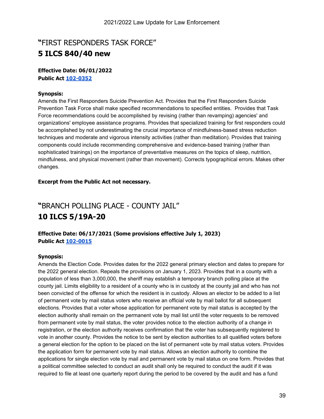### **"**FIRST RESPONDERS TASK FORCE" **5 ILCS 840/40 new**

#### **Effective Date: 06/01/2022 Public Act [102-0352](https://ilga.gov/legislation/billstatus.asp?DocNum=3911&GAID=16&GA=102&DocTypeID=HB&LegID=132997&SessionID=110&SpecSess=)**

#### **Synopsis:**

Amends the First Responders Suicide Prevention Act. Provides that the First Responders Suicide Prevention Task Force shall make specified recommendations to specified entities. Provides that Task Force recommendations could be accomplished by revising (rather than revamping) agencies' and organizations' employee assistance programs. Provides that specialized training for first responders could be accomplished by not underestimating the crucial importance of mindfulness-based stress reduction techniques and moderate and vigorous intensity activities (rather than meditation). Provides that training components could include recommending comprehensive and evidence-based training (rather than sophisticated trainings) on the importance of preventative measures on the topics of sleep, nutrition, mindfulness, and physical movement (rather than movement). Corrects typographical errors. Makes other changes.

#### **Excerpt from the Public Act not necessary.**

### **"**BRANCH POLLING PLACE - COUNTY JAIL" **10 ILCS 5/19A-20**

#### **Effective Date: 06/17/2021 (Some provisions effective July 1, 2023) Public Act [102-0015](https://www.ilga.gov/legislation/billstatus.asp?DocNum=0825&GAID=16&GA=102&DocTypeID=SB&LegID=133452&SessionID=110&SpecSess=)**

#### **Synopsis:**

Amends the Election Code. Provides dates for the 2022 general primary election and dates to prepare for the 2022 general election. Repeals the provisions on January 1, 2023. Provides that in a county with a population of less than 3,000,000, the sheriff may establish a temporary branch polling place at the county jail. Limits eligibility to a resident of a county who is in custody at the county jail and who has not been convicted of the offense for which the resident is in custody. Allows an elector to be added to a list of permanent vote by mail status voters who receive an official vote by mail ballot for all subsequent elections. Provides that a voter whose application for permanent vote by mail status is accepted by the election authority shall remain on the permanent vote by mail list until the voter requests to be removed from permanent vote by mail status, the voter provides notice to the election authority of a change in registration, or the election authority receives confirmation that the voter has subsequently registered to vote in another county. Provides the notice to be sent by election authorities to all qualified voters before a general election for the option to be placed on the list of permanent vote by mail status voters. Provides the application form for permanent vote by mail status. Allows an election authority to combine the applications for single election vote by mail and permanent vote by mail status on one form. Provides that a political committee selected to conduct an audit shall only be required to conduct the audit if it was required to file at least one quarterly report during the period to be covered by the audit and has a fund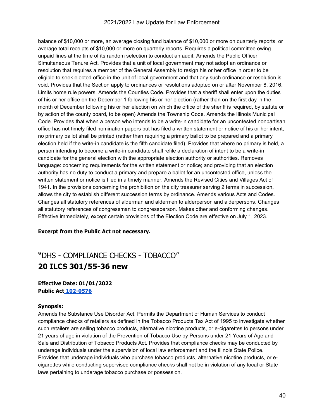balance of \$10,000 or more, an average closing fund balance of \$10,000 or more on quarterly reports, or average total receipts of \$10,000 or more on quarterly reports. Requires a political committee owing unpaid fines at the time of its random selection to conduct an audit. Amends the Public Officer Simultaneous Tenure Act. Provides that a unit of local government may not adopt an ordinance or resolution that requires a member of the General Assembly to resign his or her office in order to be eligible to seek elected office in the unit of local government and that any such ordinance or resolution is void. Provides that the Section apply to ordinances or resolutions adopted on or after November 8, 2016. Limits home rule powers. Amends the Counties Code. Provides that a sheriff shall enter upon the duties of his or her office on the December 1 following his or her election (rather than on the first day in the month of December following his or her election on which the office of the sheriff is required, by statute or by action of the county board, to be open) Amends the Township Code. Amends the Illinois Municipal Code. Provides that when a person who intends to be a write-in candidate for an uncontested nonpartisan office has not timely filed nomination papers but has filed a written statement or notice of his or her intent, no primary ballot shall be printed (rather than requiring a primary ballot to be prepared and a primary election held if the write-in candidate is the fifth candidate filed). Provides that where no primary is held, a person intending to become a write-in candidate shall refile a declaration of intent to be a write-in candidate for the general election with the appropriate election authority or authorities. Removes language: concerning requirements for the written statement or notice; and providing that an election authority has no duty to conduct a primary and prepare a ballot for an uncontested office, unless the written statement or notice is filed in a timely manner. Amends the Revised Cities and Villages Act of 1941. In the provisions concerning the prohibition on the city treasurer serving 2 terms in succession, allows the city to establish different succession terms by ordinance. Amends various Acts and Codes. Changes all statutory references of alderman and aldermen to alderperson and alderpersons. Changes all statutory references of congressman to congressperson. Makes other and conforming changes. Effective immediately, except certain provisions of the Election Code are effective on July 1, 2023.

#### **Excerpt from the Public Act not necessary.**

### **"**DHS - COMPLIANCE CHECKS - TOBACCO" **20 ILCS 301/55-36 new**

#### **Effective Date: 01/01/2022 Public Act [102-0576](https://ilga.gov/legislation/billstatus.asp?DocNum=0555&GAID=16&GA=102&DocTypeID=SB&LegID=133143&SessionID=110&SpecSess=)**

#### **Synopsis:**

Amends the Substance Use Disorder Act. Permits the Department of Human Services to conduct compliance checks of retailers as defined in the Tobacco Products Tax Act of 1995 to investigate whether such retailers are selling tobacco products, alternative nicotine products, or e-cigarettes to persons under 21 years of age in violation of the Prevention of Tobacco Use by Persons under 21 Years of Age and Sale and Distribution of Tobacco Products Act. Provides that compliance checks may be conducted by underage individuals under the supervision of local law enforcement and the Illinois State Police. Provides that underage individuals who purchase tobacco products, alternative nicotine products, or ecigarettes while conducting supervised compliance checks shall not be in violation of any local or State laws pertaining to underage tobacco purchase or possession.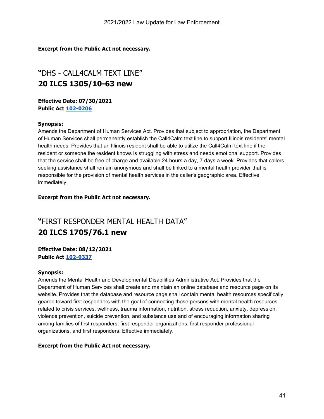#### **Excerpt from the Public Act not necessary.**

### **"**DHS - CALL4CALM TEXT LINE" **20 ILCS 1305/10-63 new**

**Effective Date: 07/30/2021 Public Act [102-0206](https://www.ilga.gov/legislation/billstatus.asp?DocNum=1805&GAID=16&GA=102&DocTypeID=HB&LegID=130515&SessionID=110&SpecSess=)**

#### **Synopsis:**

Amends the Department of Human Services Act. Provides that subject to appropriation, the Department of Human Services shall permanently establish the Call4Calm text line to support Illinois residents' mental health needs. Provides that an Illinois resident shall be able to utilize the Call4Calm text line if the resident or someone the resident knows is struggling with stress and needs emotional support. Provides that the service shall be free of charge and available 24 hours a day, 7 days a week. Provides that callers seeking assistance shall remain anonymous and shall be linked to a mental health provider that is responsible for the provision of mental health services in the caller's geographic area. Effective immediately.

#### **Excerpt from the Public Act not necessary.**

### **"**FIRST RESPONDER MENTAL HEALTH DATA" **20 ILCS 1705/76.1 new**

#### **Effective Date: 08/12/2021 Public Act [102-0337](https://ilga.gov/legislation/billstatus.asp?DocNum=1575&GAID=16&GA=102&DocTypeID=SB&LegID=134208&SessionID=110&SpecSess=)**

#### **Synopsis:**

Amends the Mental Health and Developmental Disabilities Administrative Act. Provides that the Department of Human Services shall create and maintain an online database and resource page on its website. Provides that the database and resource page shall contain mental health resources specifically geared toward first responders with the goal of connecting those persons with mental health resources related to crisis services, wellness, trauma information, nutrition, stress reduction, anxiety, depression, violence prevention, suicide prevention, and substance use and of encouraging information sharing among families of first responders, first responder organizations, first responder professional organizations, and first responders. Effective immediately.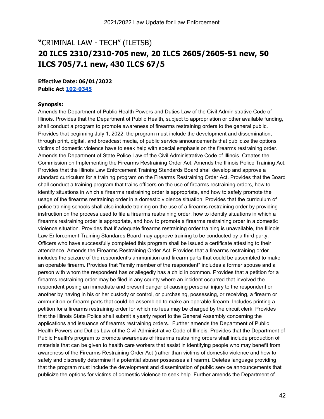### **"**CRIMINAL LAW - TECH" (ILETSB) **20 ILCS 2310/2310-705 new, 20 ILCS 2605/2605-51 new, 50 ILCS 705/7.1 new, 430 ILCS 67/5**

**Effective Date: 06/01/2022 Public Act [102-0345](https://ilga.gov/legislation/billstatus.asp?DocNum=1092&GAID=16&GA=102&DocTypeID=HB&LegID=129763&SessionID=110&SpecSess=)**

#### **Synopsis:**

Amends the Department of Public Health Powers and Duties Law of the Civil Administrative Code of Illinois. Provides that the Department of Public Health, subject to appropriation or other available funding, shall conduct a program to promote awareness of firearms restraining orders to the general public. Provides that beginning July 1, 2022, the program must include the development and dissemination, through print, digital, and broadcast media, of public service announcements that publicize the options victims of domestic violence have to seek help with special emphasis on the firearms restraining order. Amends the Department of State Police Law of the Civil Administrative Code of Illinois. Creates the Commission on Implementing the Firearms Restraining Order Act. Amends the Illinois Police Training Act. Provides that the Illinois Law Enforcement Training Standards Board shall develop and approve a standard curriculum for a training program on the Firearms Restraining Order Act. Provides that the Board shall conduct a training program that trains officers on the use of firearms restraining orders, how to identify situations in which a firearms restraining order is appropriate, and how to safely promote the usage of the firearms restraining order in a domestic violence situation. Provides that the curriculum of police training schools shall also include training on the use of a firearms restraining order by providing instruction on the process used to file a firearms restraining order, how to identify situations in which a firearms restraining order is appropriate, and how to promote a firearms restraining order in a domestic violence situation. Provides that if adequate firearms restraining order training is unavailable, the Illinois Law Enforcement Training Standards Board may approve training to be conducted by a third party. Officers who have successfully completed this program shall be issued a certificate attesting to their attendance. Amends the Firearms Restraining Order Act. Provides that a firearms restraining order includes the seizure of the respondent's ammunition and firearm parts that could be assembled to make an operable firearm. Provides that "family member of the respondent" includes a former spouse and a person with whom the respondent has or allegedly has a child in common. Provides that a petition for a firearms restraining order may be filed in any county where an incident occurred that involved the respondent posing an immediate and present danger of causing personal injury to the respondent or another by having in his or her custody or control, or purchasing, possessing, or receiving, a firearm or ammunition or firearm parts that could be assembled to make an operable firearm. Includes printing a petition for a firearms restraining order for which no fees may be charged by the circuit clerk. Provides that the Illinois State Police shall submit a yearly report to the General Assembly concerning the applications and issuance of firearms restraining orders. Further amends the Department of Public Health Powers and Duties Law of the Civil Administrative Code of Illinois. Provides that the Department of Public Health's program to promote awareness of firearms restraining orders shall include production of materials that can be given to health care workers that assist in identifying people who may benefit from awareness of the Firearms Restraining Order Act (rather than victims of domestic violence and how to safely and discreetly determine if a potential abuser possesses a firearm). Deletes language providing that the program must include the development and dissemination of public service announcements that publicize the options for victims of domestic violence to seek help. Further amends the Department of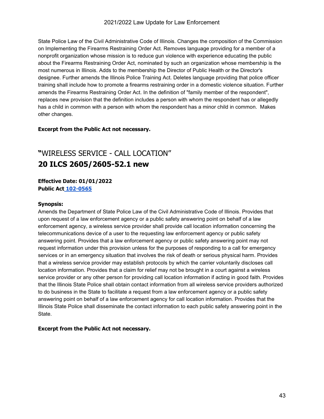State Police Law of the Civil Administrative Code of Illinois. Changes the composition of the Commission on Implementing the Firearms Restraining Order Act. Removes language providing for a member of a nonprofit organization whose mission is to reduce gun violence with experience educating the public about the Firearms Restraining Order Act, nominated by such an organization whose membership is the most numerous in Illinois. Adds to the membership the Director of Public Health or the Director's designee. Further amends the Illinois Police Training Act. Deletes language providing that police officer training shall include how to promote a firearms restraining order in a domestic violence situation. Further amends the Firearms Restraining Order Act. In the definition of "family member of the respondent", replaces new provision that the definition includes a person with whom the respondent has or allegedly has a child in common with a person with whom the respondent has a minor child in common. Makes other changes.

#### **Excerpt from the Public Act not necessary.**

### **"**WIRELESS SERVICE - CALL LOCATION" **20 ILCS 2605/2605-52.1 new**

#### **Effective Date: 01/01/2022 Public Act [102-0565](https://ilga.gov/legislation/billstatus.asp?DocNum=2530&GAID=16&GA=102&DocTypeID=SB&LegID=135184&SessionID=110&SpecSess=)**

#### **Synopsis:**

Amends the Department of State Police Law of the Civil Administrative Code of Illinois. Provides that upon request of a law enforcement agency or a public safety answering point on behalf of a law enforcement agency, a wireless service provider shall provide call location information concerning the telecommunications device of a user to the requesting law enforcement agency or public safety answering point. Provides that a law enforcement agency or public safety answering point may not request information under this provision unless for the purposes of responding to a call for emergency services or in an emergency situation that involves the risk of death or serious physical harm. Provides that a wireless service provider may establish protocols by which the carrier voluntarily discloses call location information. Provides that a claim for relief may not be brought in a court against a wireless service provider or any other person for providing call location information if acting in good faith. Provides that the Illinois State Police shall obtain contact information from all wireless service providers authorized to do business in the State to facilitate a request from a law enforcement agency or a public safety answering point on behalf of a law enforcement agency for call location information. Provides that the Illinois State Police shall disseminate the contact information to each public safety answering point in the State.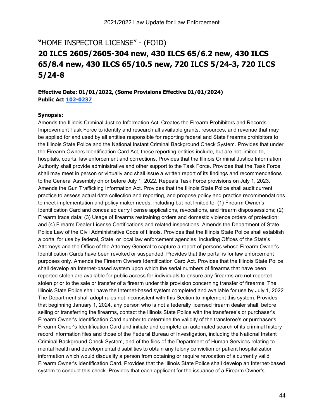### **"**HOME INSPECTOR LICENSE" - (FOID) **20 ILCS 2605/2605-304 new, 430 ILCS 65/6.2 new, 430 ILCS 65/8.4 new, 430 ILCS 65/10.5 new, 720 ILCS 5/24-3, 720 ILCS 5/24-8**

**Effective Date: 01/01/2022, (Some Provisions Effective 01/01/2024) Public Act [102-0237](https://www.ilga.gov/legislation/billstatus.asp?DocNum=3940&GAID=16&GA=102&DocTypeID=HB&LegID=133028&SessionID=110&SpecSess=)**

#### **Synopsis:**

Amends the Illinois Criminal Justice Information Act. Creates the Firearm Prohibitors and Records Improvement Task Force to identify and research all available grants, resources, and revenue that may be applied for and used by all entities responsible for reporting federal and State firearms prohibitors to the Illinois State Police and the National Instant Criminal Background Check System. Provides that under the Firearm Owners Identification Card Act, these reporting entities include, but are not limited to, hospitals, courts, law enforcement and corrections. Provides that the Illinois Criminal Justice Information Authority shall provide administrative and other support to the Task Force. Provides that the Task Force shall may meet in person or virtually and shall issue a written report of its findings and recommendations to the General Assembly on or before July 1, 2022. Repeals Task Force provisions on July 1, 2023. Amends the Gun Trafficking Information Act. Provides that the Illinois State Police shall audit current practice to assess actual data collection and reporting, and propose policy and practice recommendations to meet implementation and policy maker needs, including but not limited to: (1) Firearm Owner's Identification Card and concealed carry license applications, revocations, and firearm dispossessions; (2) Firearm trace data; (3) Usage of firearms restraining orders and domestic violence orders of protection; and (4) Firearm Dealer License Certifications and related inspections. Amends the Department of State Police Law of the Civil Administrative Code of Illinois. Provides that the Illinois State Police shall establish a portal for use by federal, State, or local law enforcement agencies, including Offices of the State's Attorneys and the Office of the Attorney General to capture a report of persons whose Firearm Owner's Identification Cards have been revoked or suspended. Provides that the portal is for law enforcement purposes only. Amends the Firearm Owners Identification Card Act. Provides that the Illinois State Police shall develop an Internet-based system upon which the serial numbers of firearms that have been reported stolen are available for public access for individuals to ensure any firearms are not reported stolen prior to the sale or transfer of a firearm under this provision concerning transfer of firearms. The Illinois State Police shall have the Internet-based system completed and available for use by July 1, 2022. The Department shall adopt rules not inconsistent with this Section to implement this system. Provides that beginning January 1, 2024, any person who is not a federally licensed firearm dealer shall, before selling or transferring the firearms, contact the Illinois State Police with the transferee's or purchaser's Firearm Owner's Identification Card number to determine the validity of the transferee's or purchaser's Firearm Owner's Identification Card and initiate and complete an automated search of its criminal history record information files and those of the Federal Bureau of Investigation, including the National Instant Criminal Background Check System, and of the files of the Department of Human Services relating to mental health and developmental disabilities to obtain any felony conviction or patient hospitalization information which would disqualify a person from obtaining or require revocation of a currently valid Firearm Owner's Identification Card. Provides that the Illinois State Police shall develop an Internet-based system to conduct this check. Provides that each applicant for the issuance of a Firearm Owner's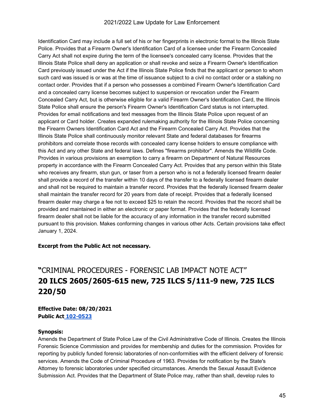#### 2021/2022 Law Update for Law Enforcement

Identification Card may include a full set of his or her fingerprints in electronic format to the Illinois State Police. Provides that a Firearm Owner's Identification Card of a licensee under the Firearm Concealed Carry Act shall not expire during the term of the licensee's concealed carry license. Provides that the Illinois State Police shall deny an application or shall revoke and seize a Firearm Owner's Identification Card previously issued under the Act if the Illinois State Police finds that the applicant or person to whom such card was issued is or was at the time of issuance subject to a civil no contact order or a stalking no contact order. Provides that if a person who possesses a combined Firearm Owner's Identification Card and a concealed carry license becomes subject to suspension or revocation under the Firearm Concealed Carry Act, but is otherwise eligible for a valid Firearm Owner's Identification Card, the Illinois State Police shall ensure the person's Firearm Owner's Identification Card status is not interrupted. Provides for email notifications and text messages from the Illinois State Police upon request of an applicant or Card holder. Creates expanded rulemaking authority for the Illinois State Police concerning the Firearm Owners Identification Card Act and the Firearm Concealed Carry Act. Provides that the Illinois State Police shall continuously monitor relevant State and federal databases for firearms prohibitors and correlate those records with concealed carry license holders to ensure compliance with this Act and any other State and federal laws. Defines "firearms prohibitor". Amends the Wildlife Code. Provides in various provisions an exemption to carry a firearm on Department of Natural Resources property in accordance with the Firearm Concealed Carry Act. Provides that any person within this State who receives any firearm, stun gun, or taser from a person who is not a federally licensed firearm dealer shall provide a record of the transfer within 10 days of the transfer to a federally licensed firearm dealer and shall not be required to maintain a transfer record. Provides that the federally licensed firearm dealer shall maintain the transfer record for 20 years from date of receipt. Provides that a federally licensed firearm dealer may charge a fee not to exceed \$25 to retain the record. Provides that the record shall be provided and maintained in either an electronic or paper format. Provides that the federally licensed firearm dealer shall not be liable for the accuracy of any information in the transfer record submitted pursuant to this provision. Makes conforming changes in various other Acts. Certain provisions take effect January 1, 2024.

#### **Excerpt from the Public Act not necessary.**

### **"**CRIMINAL PROCEDURES - FORENSIC LAB IMPACT NOTE ACT" **20 ILCS 2605/2605-615 new, 725 ILCS 5/111-9 new, 725 ILCS 220/50**

#### **Effective Date: 08/20/2021 Public Act [102-0523](https://ilga.gov/legislation/billstatus.asp?DocNum=0920&GAID=16&GA=102&DocTypeID=SB&LegID=133547&SessionID=110&SpecSess=)**

#### **Synopsis:**

Amends the Department of State Police Law of the Civil Administrative Code of Illinois. Creates the Illinois Forensic Science Commission and provides for membership and duties for the commission. Provides for reporting by publicly funded forensic laboratories of non-conformities with the efficient delivery of forensic services. Amends the Code of Criminal Procedure of 1963. Provides for notification by the State's Attorney to forensic laboratories under specified circumstances. Amends the Sexual Assault Evidence Submission Act. Provides that the Department of State Police may, rather than shall, develop rules to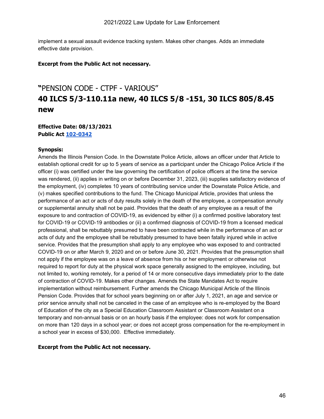implement a sexual assault evidence tracking system. Makes other changes. Adds an immediate effective date provision.

#### **Excerpt from the Public Act not necessary.**

### **"**PENSION CODE - CTPF - VARIOUS" **40 ILCS 5/3-110.11a new, 40 ILCS 5/8 -151, 30 ILCS 805/8.45 new**

#### **Effective Date: 08/13/2021 Public Act [102-0342](https://ilga.gov/legislation/billstatus.asp?DocNum=0275&GAID=16&GA=102&DocTypeID=HB&LegID=128159&SessionID=110&SpecSess=)**

#### **Synopsis:**

Amends the Illinois Pension Code. In the Downstate Police Article, allows an officer under that Article to establish optional credit for up to 5 years of service as a participant under the Chicago Police Article if the officer (i) was certified under the law governing the certification of police officers at the time the service was rendered, (ii) applies in writing on or before December 31, 2023, (iii) supplies satisfactory evidence of the employment, (iv) completes 10 years of contributing service under the Downstate Police Article, and (v) makes specified contributions to the fund. The Chicago Municipal Article, provides that unless the performance of an act or acts of duty results solely in the death of the employee, a compensation annuity or supplemental annuity shall not be paid. Provides that the death of any employee as a result of the exposure to and contraction of COVID-19, as evidenced by either (i) a confirmed positive laboratory test for COVID-19 or COVID-19 antibodies or (ii) a confirmed diagnosis of COVID-19 from a licensed medical professional, shall be rebuttably presumed to have been contracted while in the performance of an act or acts of duty and the employee shall be rebuttably presumed to have been fatally injured while in active service. Provides that the presumption shall apply to any employee who was exposed to and contracted COVID-19 on or after March 9, 2020 and on or before June 30, 2021. Provides that the presumption shall not apply if the employee was on a leave of absence from his or her employment or otherwise not required to report for duty at the physical work space generally assigned to the employee, including, but not limited to, working remotely, for a period of 14 or more consecutive days immediately prior to the date of contraction of COVID-19. Makes other changes. Amends the State Mandates Act to require implementation without reimbursement. Further amends the Chicago Municipal Article of the Illinois Pension Code. Provides that for school years beginning on or after July 1, 2021, an age and service or prior service annuity shall not be canceled in the case of an employee who is re-employed by the Board of Education of the city as a Special Education Classroom Assistant or Classroom Assistant on a temporary and non-annual basis or on an hourly basis if the employee: does not work for compensation on more than 120 days in a school year; or does not accept gross compensation for the re-employment in a school year in excess of \$30,000. Effective immediately.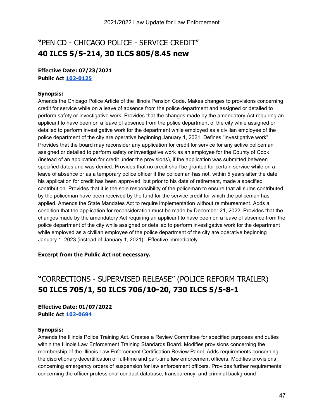### **"**PEN CD - CHICAGO POLICE - SERVICE CREDIT" **40 ILCS 5/5-214, 30 ILCS 805/8.45 new**

#### **Effective Date: 07/23/2021 Public Act [102-0125](https://www.ilga.gov/legislation/billstatus.asp?DocNum=0426&GAID=16&GA=102&DocTypeID=HB&LegID=128438&SessionID=110&SpecSess=)**

#### **Synopsis:**

Amends the Chicago Police Article of the Illinois Pension Code. Makes changes to provisions concerning credit for service while on a leave of absence from the police department and assigned or detailed to perform safety or investigative work. Provides that the changes made by the amendatory Act requiring an applicant to have been on a leave of absence from the police department of the city while assigned or detailed to perform investigative work for the department while employed as a civilian employee of the police department of the city are operative beginning January 1, 2021. Defines "investigative work". Provides that the board may reconsider any application for credit for service for any active policeman assigned or detailed to perform safety or investigative work as an employee for the County of Cook (instead of an application for credit under the provisions), if the application was submitted between specified dates and was denied. Provides that no credit shall be granted for certain service while on a leave of absence or as a temporary police officer if the policeman has not, within 5 years after the date his application for credit has been approved, but prior to his date of retirement, made a specified contribution. Provides that it is the sole responsibility of the policeman to ensure that all sums contributed by the policeman have been received by the fund for the service credit for which the policeman has applied. Amends the State Mandates Act to require implementation without reimbursement. Adds a condition that the application for reconsideration must be made by December 21, 2022. Provides that the changes made by the amendatory Act requiring an applicant to have been on a leave of absence from the police department of the city while assigned or detailed to perform investigative work for the department while employed as a civilian employee of the police department of the city are operative beginning January 1, 2023 (instead of January 1, 2021). Effective immediately.

#### **Excerpt from the Public Act not necessary.**

### **"**CORRECTIONS - SUPERVISED RELEASE" (POLICE REFORM TRAILER) **50 ILCS 705/1, 50 ILCS 706/10-20, 730 ILCS 5/5-8-1**

#### **Effective Date: 01/07/2022 Public Act [102-0694](https://ilga.gov/legislation/billstatus.asp?DocNum=3512&GAID=16&GA=102&DocTypeID=HB&LegID=132519&SessionID=110&SpecSess=)**

#### **Synopsis:**

Amends the Illinois Police Training Act. Creates a Review Committee for specified purposes and duties within the Illinois Law Enforcement Training Standards Board. Modifies provisions concerning the membership of the Illinois Law Enforcement Certification Review Panel. Adds requirements concerning the discretionary decertification of full-time and part-time law enforcement officers. Modifies provisions concerning emergency orders of suspension for law enforcement officers. Provides further requirements concerning the officer professional conduct database, transparency, and criminal background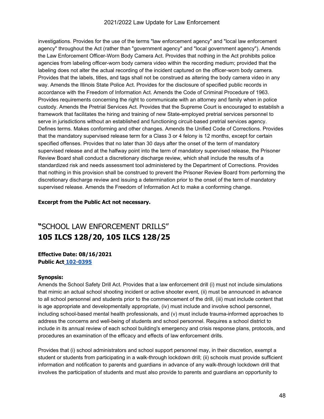investigations. Provides for the use of the terms "law enforcement agency" and "local law enforcement agency" throughout the Act (rather than "government agency" and "local government agency"). Amends the Law Enforcement Officer-Worn Body Camera Act. Provides that nothing in the Act prohibits police agencies from labeling officer-worn body camera video within the recording medium; provided that the labeling does not alter the actual recording of the incident captured on the officer-worn body camera. Provides that the labels, titles, and tags shall not be construed as altering the body camera video in any way. Amends the Illinois State Police Act. Provides for the disclosure of specified public records in accordance with the Freedom of Information Act. Amends the Code of Criminal Procedure of 1963. Provides requirements concerning the right to communicate with an attorney and family when in police custody. Amends the Pretrial Services Act. Provides that the Supreme Court is encouraged to establish a framework that facilitates the hiring and training of new State-employed pretrial services personnel to serve in jurisdictions without an established and functioning circuit-based pretrial services agency. Defines terms. Makes conforming and other changes. Amends the Unified Code of Corrections. Provides that the mandatory supervised release term for a Class 3 or 4 felony is 12 months, except for certain specified offenses. Provides that no later than 30 days after the onset of the term of mandatory supervised release and at the halfway point into the term of mandatory supervised release, the Prisoner Review Board shall conduct a discretionary discharge review, which shall include the results of a standardized risk and needs assessment tool administered by the Department of Corrections. Provides that nothing in this provision shall be construed to prevent the Prisoner Review Board from performing the discretionary discharge review and issuing a determination prior to the onset of the term of mandatory supervised release. Amends the Freedom of Information Act to make a conforming change.

#### **Excerpt from the Public Act not necessary.**

### **"**SCHOOL LAW ENFORCEMENT DRILLS" **105 ILCS 128/20, 105 ILCS 128/25**

#### **Effective Date: 08/16/2021 Public Act [102-0395](https://ilga.gov/legislation/billstatus.asp?DocNum=2400&GAID=16&GA=102&DocTypeID=HB&LegID=131158&SessionID=110&SpecSess=)**

#### **Synopsis:**

Amends the School Safety Drill Act. Provides that a law enforcement drill (i) must not include simulations that mimic an actual school shooting incident or active shooter event, (ii) must be announced in advance to all school personnel and students prior to the commencement of the drill, (iii) must include content that is age appropriate and developmentally appropriate, (iv) must include and involve school personnel, including school-based mental health professionals, and (v) must include trauma-informed approaches to address the concerns and well-being of students and school personnel. Requires a school district to include in its annual review of each school building's emergency and crisis response plans, protocols, and procedures an examination of the efficacy and effects of law enforcement drills.

Provides that (i) school administrators and school support personnel may, in their discretion, exempt a student or students from participating in a walk-through lockdown drill; (ii) schools must provide sufficient information and notification to parents and guardians in advance of any walk-through lockdown drill that involves the participation of students and must also provide to parents and guardians an opportunity to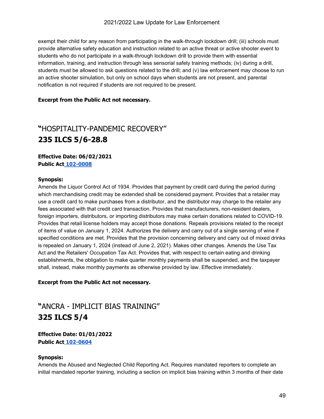exempt their child for any reason from participating in the walk-through lockdown drill; (iii) schools must provide alternative safety education and instruction related to an active threat or active shooter event to students who do not participate in a walk-through lockdown drill to provide them with essential information, training, and instruction through less sensorial safety training methods; (iv) during a drill, students must be allowed to ask questions related to the drill; and (v) law enforcement may choose to run an active shooter simulation, but only on school days when students are not present, and parental notification is not required if students are not required to be present.

#### **Excerpt from the Public Act not necessary.**

### **"**HOSPITALITY-PANDEMIC RECOVERY" **235 ILCS 5/6-28.8**

**Effective Date: 06/02/2021 Public Act [102-0008](https://www.ilga.gov/legislation/billstatus.asp?DocNum=0104&GAID=16&GA=102&DocTypeID=SB&LegID=128650&SessionID=110&SpecSess=)**

#### **Synopsis:**

Amends the Liquor Control Act of 1934. Provides that payment by credit card during the period during which merchandising credit may be extended shall be considered payment. Provides that a retailer may use a credit card to make purchases from a distributor, and the distributor may charge to the retailer any fees associated with that credit card transaction. Provides that manufacturers, non-resident dealers, foreign importers, distributors, or importing distributors may make certain donations related to COVID-19. Provides that retail license holders may accept those donations. Repeals provisions related to the receipt of items of value on January 1, 2024. Authorizes the delivery and carry out of a single serving of wine if specified conditions are met. Provides that the provision concerning delivery and carry out of mixed drinks is repealed on January 1, 2024 (instead of June 2, 2021). Makes other changes. Amends the Use Tax Act and the Retailers' Occupation Tax Act. Provides that, with respect to certain eating and drinking establishments, the obligation to make quarter monthly payments shall be suspended, and the taxpayer shall, instead, make monthly payments as otherwise provided by law. Effective immediately.

#### **Excerpt from the Public Act not necessary.**

### **"**ANCRA - IMPLICIT BIAS TRAINING" **325 ILCS 5/4**

**Effective Date: 01/01/2022 Public Act [102-0604](https://ilga.gov/legislation/billstatus.asp?DocNum=3100&GAID=16&GA=102&DocTypeID=HB&LegID=132024&SessionID=110&SpecSess=)** 

#### **Synopsis:**

Amends the Abused and Neglected Child Reporting Act. Requires mandated reporters to complete an initial mandated reporter training, including a section on implicit bias training within 3 months of their date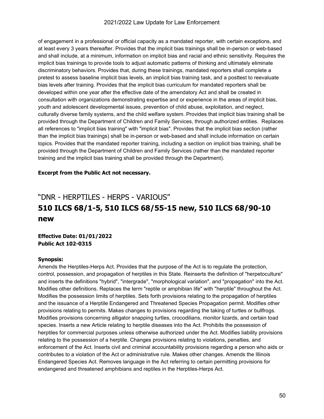#### 2021/2022 Law Update for Law Enforcement

of engagement in a professional or official capacity as a mandated reporter, with certain exceptions, and at least every 3 years thereafter. Provides that the implicit bias trainings shall be in-person or web-based and shall include, at a minimum, information on implicit bias and racial and ethnic sensitivity. Requires the implicit bias trainings to provide tools to adjust automatic patterns of thinking and ultimately eliminate discriminatory behaviors. Provides that, during these trainings, mandated reporters shall complete a pretest to assess baseline implicit bias levels, an implicit bias training task, and a posttest to reevaluate bias levels after training. Provides that the implicit bias curriculum for mandated reporters shall be developed within one year after the effective date of the amendatory Act and shall be created in consultation with organizations demonstrating expertise and or experience in the areas of implicit bias, youth and adolescent developmental issues, prevention of child abuse, exploitation, and neglect, culturally diverse family systems, and the child welfare system. Provides that implicit bias training shall be provided through the Department of Children and Family Services, through authorized entities. Replaces all references to "implicit bias training" with "implicit bias". Provides that the implicit bias section (rather than the implicit bias trainings) shall be in-person or web-based and shall include information on certain topics. Provides that the mandated reporter training, including a section on implicit bias training, shall be provided through the Department of Children and Family Services (rather than the mandated reporter training and the implicit bias training shall be provided through the Department).

#### **Excerpt from the Public Act not necessary.**

### "DNR - HERPTILES - HERPS - VARIOUS" **510 ILCS 68/1-5, 510 ILCS 68/55-15 new, 510 ILCS 68/90-10 new**

**Effective Date: 01/01/2022 Public Act 102-0315** 

#### **Synopsis:**

Amends the Herptiles-Herps Act. Provides that the purpose of the Act is to regulate the protection, control, possession, and propagation of herptiles in this State. Reinserts the definition of "herpetoculture" and inserts the definitions "hybrid", "intergrade", "morphological variation", and "propagation" into the Act. Modifies other definitions. Replaces the term "reptile or amphibian life" with "herptile" throughout the Act. Modifies the possession limits of herptiles. Sets forth provisions relating to the propagation of herptiles and the issuance of a Herptile Endangered and Threatened Species Propagation permit. Modifies other provisions relating to permits. Makes changes to provisions regarding the taking of turtles or bullfrogs. Modifies provisions concerning alligator snapping turtles, crocodilians, monitor lizards, and certain toad species. Inserts a new Article relating to herptile diseases into the Act. Prohibits the possession of herptiles for commercial purposes unless otherwise authorized under the Act. Modifies liability provisions relating to the possession of a herptile. Changes provisions relating to violations, penalties, and enforcement of the Act. Inserts civil and criminal accountability provisions regarding a person who aids or contributes to a violation of the Act or administrative rule. Makes other changes. Amends the Illinois Endangered Species Act. Removes language in the Act referring to certain permitting provisions for endangered and threatened amphibians and reptiles in the Herptiles-Herps Act.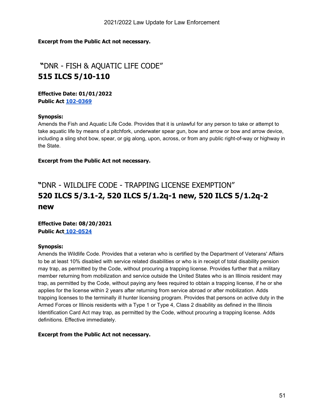#### **Excerpt from the Public Act not necessary.**

### **"**DNR - FISH & AQUATIC LIFE CODE" **515 ILCS 5/10-110**

**Effective Date: 01/01/2022 Public Act [102-0369](https://ilga.gov/legislation/billstatus.asp?DocNum=1879&GAID=16&GA=102&DocTypeID=SB&LegID=134533&SessionID=110&SpecSess=)**

#### **Synopsis:**

Amends the Fish and Aquatic Life Code. Provides that it is unlawful for any person to take or attempt to take aquatic life by means of a pitchfork, underwater spear gun, bow and arrow or bow and arrow device, including a sling shot bow, spear, or gig along, upon, across, or from any public right-of-way or highway in the State.

#### **Excerpt from the Public Act not necessary.**

### **"**DNR - WILDLIFE CODE - TRAPPING LICENSE EXEMPTION" **520 ILCS 5/3.1-2, 520 ILCS 5/1.2q-1 new, 520 ILCS 5/1.2q-2 new**

**Effective Date: 08/20/2021 Public Act [102-0524](https://ilga.gov/legislation/billstatus.asp?DocNum=1533&GAID=16&GA=102&DocTypeID=SB&LegID=134166&SessionID=110&SpecSess=)** 

#### **Synopsis:**

Amends the Wildlife Code. Provides that a veteran who is certified by the Department of Veterans' Affairs to be at least 10% disabled with service related disabilities or who is in receipt of total disability pension may trap, as permitted by the Code, without procuring a trapping license. Provides further that a military member returning from mobilization and service outside the United States who is an Illinois resident may trap, as permitted by the Code, without paying any fees required to obtain a trapping license, if he or she applies for the license within 2 years after returning from service abroad or after mobilization. Adds trapping licenses to the terminally ill hunter licensing program. Provides that persons on active duty in the Armed Forces or Illinois residents with a Type 1 or Type 4, Class 2 disability as defined in the Illinois Identification Card Act may trap, as permitted by the Code, without procuring a trapping license. Adds definitions. Effective immediately.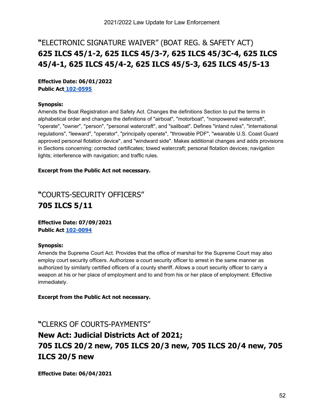### **"**ELECTRONIC SIGNATURE WAIVER" (BOAT REG. & SAFETY ACT) **625 ILCS 45/1-2, 625 ILCS 45/3-7, 625 ILCS 45/3C-4, 625 ILCS 45/4-1, 625 ILCS 45/4-2, 625 ILCS 45/5-3, 625 ILCS 45/5-13**

**Effective Date: 06/01/2022 Public Act [102-0595](https://ilga.gov/legislation/billstatus.asp?DocNum=2499&GAID=16&GA=102&DocTypeID=HB&LegID=131281&SessionID=110&SpecSess=)** 

#### **Synopsis:**

Amends the Boat Registration and Safety Act. Changes the definitions Section to put the terms in alphabetical order and changes the definitions of "airboat", "motorboat", "nonpowered watercraft", "operate", "owner", "person", "personal watercraft", and "sailboat". Defines "inland rules", "international regulations", "leeward", "operator", "principally operate", "throwable PDF", "wearable U.S. Coast Guard approved personal flotation device", and "windward side". Makes additional changes and adds provisions in Sections concerning: corrected certificates; towed watercraft; personal flotation devices; navigation lights; interference with navigation; and traffic rules.

#### **Excerpt from the Public Act not necessary.**

### **"**COURTS-SECURITY OFFICERS" **705 ILCS 5/11**

**Effective Date: 07/09/2021 Public Act [102-0094](https://www.ilga.gov/legislation/billstatus.asp?DocNum=0337&GAID=16&GA=102&DocTypeID=SB&LegID=131712&SessionID=110&SpecSess=)**

#### **Synopsis:**

Amends the Supreme Court Act. Provides that the office of marshal for the Supreme Court may also employ court security officers. Authorizes a court security officer to arrest in the same manner as authorized by similarly certified officers of a county sheriff. Allows a court security officer to carry a weapon at his or her place of employment and to and from his or her place of employment. Effective immediately.

**Excerpt from the Public Act not necessary.**

#### **"**CLERKS OF COURTS-PAYMENTS"

### **New Act: Judicial Districts Act of 2021; 705 ILCS 20/2 new, 705 ILCS 20/3 new, 705 ILCS 20/4 new, 705 ILCS 20/5 new**

**Effective Date: 06/04/2021**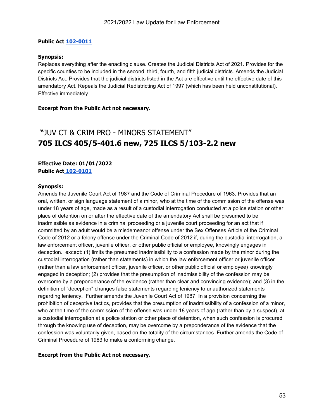#### **Public Act [102-0011](https://www.ilga.gov/legislation/billstatus.asp?DocNum=0642&GAID=16&GA=102&DocTypeID=SB&LegID=133241&SessionID=110&SpecSess=)**

#### **Synopsis:**

Replaces everything after the enacting clause. Creates the Judicial Districts Act of 2021. Provides for the specific counties to be included in the second, third, fourth, and fifth judicial districts. Amends the Judicial Districts Act. Provides that the judicial districts listed in the Act are effective until the effective date of this amendatory Act. Repeals the Judicial Redistricting Act of 1997 (which has been held unconstitutional). Effective immediately.

#### **Excerpt from the Public Act not necessary.**

### **"**JUV CT & CRIM PRO - MINORS STATEMENT" **705 ILCS 405/5-401.6 new, 725 ILCS 5/103-2.2 new**

#### **Effective Date: 01/01/2022 Public Act [102-0101](https://www.ilga.gov/legislation/billstatus.asp?DocNum=2122&GAID=16&GA=102&DocTypeID=SB&LegID=134773&SessionID=110&SpecSess=)**

#### **Synopsis:**

Amends the Juvenile Court Act of 1987 and the Code of Criminal Procedure of 1963. Provides that an oral, written, or sign language statement of a minor, who at the time of the commission of the offense was under 18 years of age, made as a result of a custodial interrogation conducted at a police station or other place of detention on or after the effective date of the amendatory Act shall be presumed to be inadmissible as evidence in a criminal proceeding or a juvenile court proceeding for an act that if committed by an adult would be a misdemeanor offense under the Sex Offenses Article of the Criminal Code of 2012 or a felony offense under the Criminal Code of 2012 if, during the custodial interrogation, a law enforcement officer, juvenile officer, or other public official or employee, knowingly engages in deception. except: (1) limits the presumed inadmissibility to a confession made by the minor during the custodial interrogation (rather than statements) in which the law enforcement officer or juvenile officer (rather than a law enforcement officer, juvenile officer, or other public official or employee) knowingly engaged in deception; (2) provides that the presumption of inadmissibility of the confession may be overcome by a preponderance of the evidence (rather than clear and convincing evidence); and (3) in the definition of "deception" changes false statements regarding leniency to unauthorized statements regarding leniency. Further amends the Juvenile Court Act of 1987. In a provision concerning the prohibition of deceptive tactics, provides that the presumption of inadmissibility of a confession of a minor, who at the time of the commission of the offense was under 18 years of age (rather than by a suspect), at a custodial interrogation at a police station or other place of detention, when such confession is procured through the knowing use of deception, may be overcome by a preponderance of the evidence that the confession was voluntarily given, based on the totality of the circumstances. Further amends the Code of Criminal Procedure of 1963 to make a conforming change.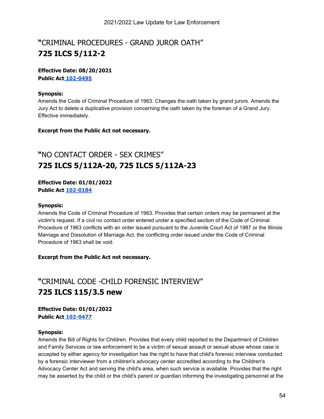### **"**CRIMINAL PROCEDURES - GRAND JUROR OATH" **725 ILCS 5/112-2**

#### **Effective Date: 08/20/2021 Public Act [102-0495](https://ilga.gov/legislation/billstatus.asp?DocNum=3678&GAID=16&GA=102&DocTypeID=HB&LegID=132724&SessionID=110&SpecSess=)**

#### **Synopsis:**

Amends the Code of Criminal Procedure of 1963. Changes the oath taken by grand jurors. Amends the Jury Act to delete a duplicative provision concerning the oath taken by the foreman of a Grand Jury. Effective immediately.

#### **Excerpt from the Public Act not necessary.**

### **"**NO CONTACT ORDER - SEX CRIMES" **725 ILCS 5/112A-20, 725 ILCS 5/112A-23**

#### **Effective Date: 01/01/2022 Public Act [102-0184](https://www.ilga.gov/legislation/billstatus.asp?DocNum=0734&GAID=16&GA=102&DocTypeID=HB&LegID=129272&SessionID=110&SpecSess=)**

#### **Synopsis:**

Amends the Code of Criminal Procedure of 1963. Provides that certain orders may be permanent at the victim's request. If a civil no contact order entered under a specified section of the Code of Criminal Procedure of 1963 conflicts with an order issued pursuant to the Juvenile Court Act of 1987 or the Illinois Marriage and Dissolution of Marriage Act, the conflicting order issued under the Code of Criminal Procedure of 1963 shall be void.

#### **Excerpt from the Public Act not necessary.**

### **"**CRIMINAL CODE -CHILD FORENSIC INTERVIEW" **725 ILCS 115/3.5 new**

**Effective Date: 01/01/2022 Public Act [102-0477](https://ilga.gov/legislation/billstatus.asp?DocNum=3462&GAID=16&GA=102&DocTypeID=HB&LegID=132445&SessionID=110&SpecSess=)**

#### **Synopsis:**

Amends the Bill of Rights for Children. Provides that every child reported to the Department of Children and Family Services or law enforcement to be a victim of sexual assault or sexual abuse whose case is accepted by either agency for investigation has the right to have that child's forensic interview conducted by a forensic interviewer from a children's advocacy center accredited according to the Children's Advocacy Center Act and serving the child's area, when such service is available. Provides that the right may be asserted by the child or the child's parent or guardian informing the investigating personnel at the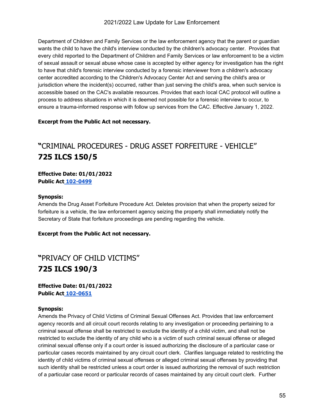Department of Children and Family Services or the law enforcement agency that the parent or guardian wants the child to have the child's interview conducted by the children's advocacy center. Provides that every child reported to the Department of Children and Family Services or law enforcement to be a victim of sexual assault or sexual abuse whose case is accepted by either agency for investigation has the right to have that child's forensic interview conducted by a forensic interviewer from a children's advocacy center accredited according to the Children's Advocacy Center Act and serving the child's area or jurisdiction where the incident(s) occurred, rather than just serving the child's area, when such service is accessible based on the CAC's available resources. Provides that each local CAC protocol will outline a process to address situations in which it is deemed not possible for a forensic interview to occur, to ensure a trauma-informed response with follow up services from the CAC. Effective January 1, 2022.

#### **Excerpt from the Public Act not necessary.**

### **"**CRIMINAL PROCEDURES - DRUG ASSET FORFEITURE - VEHICLE" **725 ILCS 150/5**

**Effective Date: 01/01/2022 Public Act [102-0499](https://ilga.gov/legislation/billstatus.asp?DocNum=3762&GAID=16&GA=102&DocTypeID=HB&LegID=132824&SessionID=110&SpecSess=)**

#### **Synopsis:**

Amends the Drug Asset Forfeiture Procedure Act. Deletes provision that when the property seized for forfeiture is a vehicle, the law enforcement agency seizing the property shall immediately notify the Secretary of State that forfeiture proceedings are pending regarding the vehicle.

#### **Excerpt from the Public Act not necessary.**

### **"**PRIVACY OF CHILD VICTIMS" **725 ILCS 190/3**

**Effective Date: 01/01/2022 Public Act [102-0651](https://ilga.gov/legislation/billstatus.asp?DocNum=2339&GAID=16&GA=102&DocTypeID=SB&LegID=134993&SessionID=110&SpecSess=)** 

#### **Synopsis:**

Amends the Privacy of Child Victims of Criminal Sexual Offenses Act. Provides that law enforcement agency records and all circuit court records relating to any investigation or proceeding pertaining to a criminal sexual offense shall be restricted to exclude the identity of a child victim, and shall not be restricted to exclude the identity of any child who is a victim of such criminal sexual offense or alleged criminal sexual offense only if a court order is issued authorizing the disclosure of a particular case or particular cases records maintained by any circuit court clerk. Clarifies language related to restricting the identity of child victims of criminal sexual offenses or alleged criminal sexual offenses by providing that such identity shall be restricted unless a court order is issued authorizing the removal of such restriction of a particular case record or particular records of cases maintained by any circuit court clerk. Further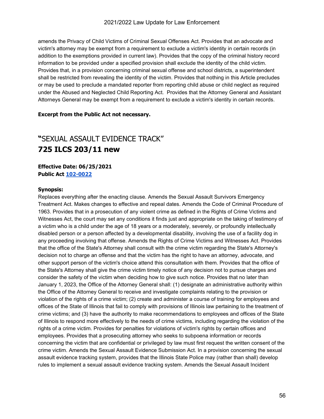amends the Privacy of Child Victims of Criminal Sexual Offenses Act. Provides that an advocate and victim's attorney may be exempt from a requirement to exclude a victim's identity in certain records (in addition to the exemptions provided in current law). Provides that the copy of the criminal history record information to be provided under a specified provision shall exclude the identity of the child victim. Provides that, in a provision concerning criminal sexual offense and school districts, a superintendent shall be restricted from revealing the identity of the victim. Provides that nothing in this Article precludes or may be used to preclude a mandated reporter from reporting child abuse or child neglect as required under the Abused and Neglected Child Reporting Act. Provides that the Attorney General and Assistant Attorneys General may be exempt from a requirement to exclude a victim's identity in certain records.

#### **Excerpt from the Public Act not necessary.**

### **"**SEXUAL ASSAULT EVIDENCE TRACK" **725 ILCS 203/11 new**

**Effective Date: 06/25/2021 Public Act [102-0022](https://www.ilga.gov/legislation/billstatus.asp?DocNum=1739&GAID=16&GA=102&DocTypeID=HB&LegID=130423&SessionID=110&SpecSess=)**

#### **Synopsis:**

Replaces everything after the enacting clause. Amends the Sexual Assault Survivors Emergency Treatment Act. Makes changes to effective and repeal dates. Amends the Code of Criminal Procedure of 1963. Provides that in a prosecution of any violent crime as defined in the Rights of Crime Victims and Witnesses Act, the court may set any conditions it finds just and appropriate on the taking of testimony of a victim who is a child under the age of 18 years or a moderately, severely, or profoundly intellectually disabled person or a person affected by a developmental disability, involving the use of a facility dog in any proceeding involving that offense. Amends the Rights of Crime Victims and Witnesses Act. Provides that the office of the State's Attorney shall consult with the crime victim regarding the State's Attorney's decision not to charge an offense and that the victim has the right to have an attorney, advocate, and other support person of the victim's choice attend this consultation with them. Provides that the office of the State's Attorney shall give the crime victim timely notice of any decision not to pursue charges and consider the safety of the victim when deciding how to give such notice. Provides that no later than January 1, 2023, the Office of the Attorney General shall: (1) designate an administrative authority within the Office of the Attorney General to receive and investigate complaints relating to the provision or violation of the rights of a crime victim; (2) create and administer a course of training for employees and offices of the State of Illinois that fail to comply with provisions of Illinois law pertaining to the treatment of crime victims; and (3) have the authority to make recommendations to employees and offices of the State of Illinois to respond more effectively to the needs of crime victims, including regarding the violation of the rights of a crime victim. Provides for penalties for violations of victim's rights by certain offices and employees. Provides that a prosecuting attorney who seeks to subpoena information or records concerning the victim that are confidential or privileged by law must first request the written consent of the crime victim. Amends the Sexual Assault Evidence Submission Act. In a provision concerning the sexual assault evidence tracking system, provides that the Illinois State Police may (rather than shall) develop rules to implement a sexual assault evidence tracking system. Amends the Sexual Assault Incident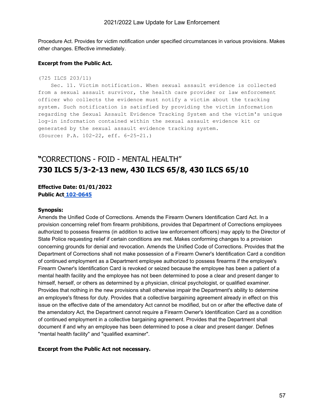Procedure Act. Provides for victim notification under specified circumstances in various provisions. Makes other changes. Effective immediately.

#### **Excerpt from the Public Act.**

```
(725 ILCS 203/11)
```
 Sec. 11. Victim notification. When sexual assault evidence is collected from a sexual assault survivor, the health care provider or law enforcement officer who collects the evidence must notify a victim about the tracking system. Such notification is satisfied by providing the victim information regarding the Sexual Assault Evidence Tracking System and the victim's unique log-in information contained within the sexual assault evidence kit or generated by the sexual assault evidence tracking system. (Source: P.A. 102-22, eff. 6-25-21.)

### **"**CORRECTIONS - FOID - MENTAL HEALTH" **730 ILCS 5/3-2-13 new, 430 ILCS 65/8, 430 ILCS 65/10**

#### **Effective Date: 01/01/2022 Public Act [102-0645](https://ilga.gov/legislation/billstatus.asp?DocNum=2249&GAID=16&GA=102&DocTypeID=SB&LegID=134902&SessionID=110&SpecSess=)**

#### **Synopsis:**

Amends the Unified Code of Corrections. Amends the Firearm Owners Identification Card Act. In a provision concerning relief from firearm prohibitions, provides that Department of Corrections employees authorized to possess firearms (in addition to active law enforcement officers) may apply to the Director of State Police requesting relief if certain conditions are met. Makes conforming changes to a provision concerning grounds for denial and revocation. Amends the Unified Code of Corrections. Provides that the Department of Corrections shall not make possession of a Firearm Owner's Identification Card a condition of continued employment as a Department employee authorized to possess firearms if the employee's Firearm Owner's Identification Card is revoked or seized because the employee has been a patient of a mental health facility and the employee has not been determined to pose a clear and present danger to himself, herself, or others as determined by a physician, clinical psychologist, or qualified examiner. Provides that nothing in the new provisions shall otherwise impair the Department's ability to determine an employee's fitness for duty. Provides that a collective bargaining agreement already in effect on this issue on the effective date of the amendatory Act cannot be modified, but on or after the effective date of the amendatory Act, the Department cannot require a Firearm Owner's Identification Card as a condition of continued employment in a collective bargaining agreement. Provides that the Department shall document if and why an employee has been determined to pose a clear and present danger. Defines "mental health facility" and "qualified examiner".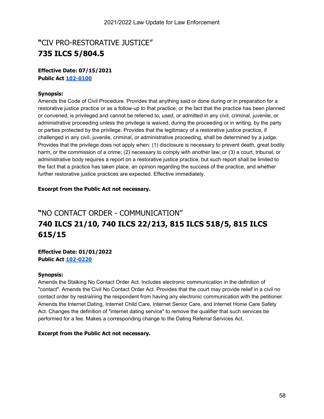### **"**CIV PRO-RESTORATIVE JUSTICE" **735 ILCS 5/804.5**

#### **Effective Date: 07/15/2021 Public Act [102-0100](https://www.ilga.gov/legislation/billstatus.asp?DocNum=0064&GAID=16&GA=102&DocTypeID=SB&LegID=128312&SessionID=110&SpecSess=)**

#### **Synopsis:**

Amends the Code of Civil Procedure. Provides that anything said or done during or in preparation for a restorative justice practice or as a follow-up to that practice, or the fact that the practice has been planned or convened, is privileged and cannot be referred to, used, or admitted in any civil, criminal, juvenile, or administrative proceeding unless the privilege is waived, during the proceeding or in writing, by the party or parties protected by the privilege. Provides that the legitimacy of a restorative justice practice, if challenged in any civil, juvenile, criminal, or administrative proceeding, shall be determined by a judge. Provides that the privilege does not apply when: (1) disclosure is necessary to prevent death, great bodily harm, or the commission of a crime; (2) necessary to comply with another law; or (3) a court, tribunal, or administrative body requires a report on a restorative justice practice, but such report shall be limited to the fact that a practice has taken place, an opinion regarding the success of the practice, and whether further restorative justice practices are expected. Effective immediately.

#### **Excerpt from the Public Act not necessary.**

### **"**NO CONTACT ORDER - COMMUNICATION" **740 ILCS 21/10, 740 ILCS 22/213, 815 ILCS 518/5, 815 ILCS 615/15**

#### **Effective Date: 01/01/2022 Public Act [102-0220](https://www.ilga.gov/legislation/billstatus.asp?DocNum=1677&GAID=16&GA=102&DocTypeID=SB&LegID=134313&SessionID=110&SpecSess=)**

#### **Synopsis:**

Amends the Stalking No Contact Order Act. Includes electronic communication in the definition of "contact". Amends the Civil No Contact Order Act. Provides that the court may provide relief in a civil no contact order by restraining the respondent from having any electronic communication with the petitioner. Amends the Internet Dating, Internet Child Care, Internet Senior Care, and Internet Home Care Safety Act. Changes the definition of "internet dating service" to remove the qualifier that such services be performed for a fee. Makes a corresponding change to the Dating Referral Services Act.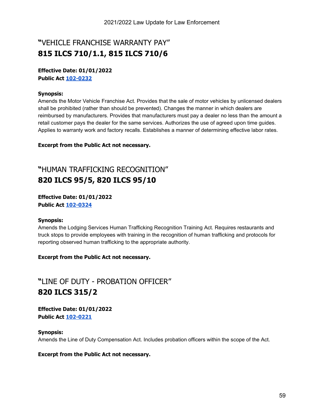### **"**VEHICLE FRANCHISE WARRANTY PAY" **815 ILCS 710/1.1, 815 ILCS 710/6**

#### **Effective Date: 01/01/2022 Public Act [102-0232](https://www.ilga.gov/legislation/billstatus.asp?DocNum=3940&GAID=16&GA=102&DocTypeID=HB&LegID=133028&SessionID=110&SpecSess=)**

#### **Synopsis:**

Amends the Motor Vehicle Franchise Act. Provides that the sale of motor vehicles by unlicensed dealers shall be prohibited (rather than should be prevented). Changes the manner in which dealers are reimbursed by manufacturers. Provides that manufacturers must pay a dealer no less than the amount a retail customer pays the dealer for the same services. Authorizes the use of agreed upon time guides. Applies to warranty work and factory recalls. Establishes a manner of determining effective labor rates.

**Excerpt from the Public Act not necessary.**

### **"**HUMAN TRAFFICKING RECOGNITION" **820 ILCS 95/5, 820 ILCS 95/10**

#### **Effective Date: 01/01/2022 Public Act [102-0324](https://ilga.gov/legislation/billstatus.asp?DocNum=1600&GAID=16&GA=102&DocTypeID=SB&LegID=134233&SessionID=110&SpecSess=)**

#### **Synopsis:**

Amends the Lodging Services Human Trafficking Recognition Training Act. Requires restaurants and truck stops to provide employees with training in the recognition of human trafficking and protocols for reporting observed human trafficking to the appropriate authority.

#### **Excerpt from the Public Act not necessary.**

### **"**LINE OF DUTY - PROBATION OFFICER" **820 ILCS 315/2**

**Effective Date: 01/01/2022 Public Act [102-0221](https://www.ilga.gov/legislation/billstatus.asp?DocNum=1681&GAID=16&GA=102&DocTypeID=SB&LegID=134317&SessionID=110&SpecSess=)**

**Synopsis:** Amends the Line of Duty Compensation Act. Includes probation officers within the scope of the Act.